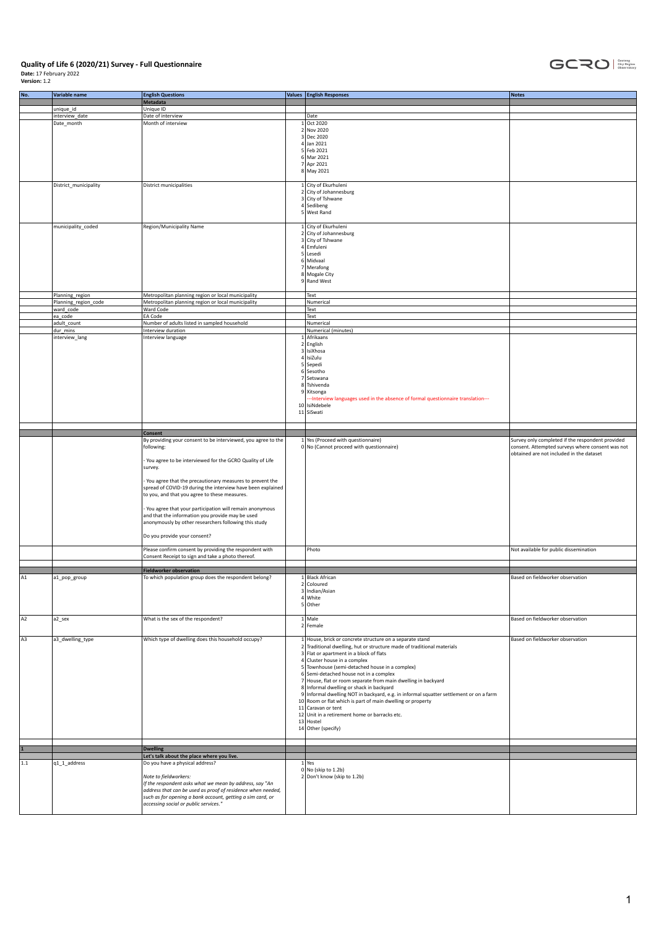

| No.            | Variable name           | <b>English Questions</b><br>Metadata                                                                | Values <b>English Responses</b>                                                                                                                      | <b>Notes</b>                                                                                 |
|----------------|-------------------------|-----------------------------------------------------------------------------------------------------|------------------------------------------------------------------------------------------------------------------------------------------------------|----------------------------------------------------------------------------------------------|
|                | unique_id               | Unique ID                                                                                           |                                                                                                                                                      |                                                                                              |
|                | interview date          | Date of interview                                                                                   | Date                                                                                                                                                 |                                                                                              |
|                | Date_month              | Month of interview                                                                                  | 1 Oct 2020                                                                                                                                           |                                                                                              |
|                |                         |                                                                                                     | 2 Nov 2020                                                                                                                                           |                                                                                              |
|                |                         |                                                                                                     | 3 Dec 2020<br>$4$ Jan 2021                                                                                                                           |                                                                                              |
|                |                         |                                                                                                     | 5 Feb 2021                                                                                                                                           |                                                                                              |
|                |                         |                                                                                                     | 6 Mar 2021                                                                                                                                           |                                                                                              |
|                |                         |                                                                                                     | 7 Apr 2021                                                                                                                                           |                                                                                              |
|                |                         |                                                                                                     | 8 May 2021                                                                                                                                           |                                                                                              |
|                |                         |                                                                                                     |                                                                                                                                                      |                                                                                              |
|                | District_municipality   | District municipalities                                                                             | 1 City of Ekurhuleni<br>2 City of Johannesburg                                                                                                       |                                                                                              |
|                |                         |                                                                                                     | 3 City of Tshwane                                                                                                                                    |                                                                                              |
|                |                         |                                                                                                     | $4$ Sedibeng                                                                                                                                         |                                                                                              |
|                |                         |                                                                                                     | 5 West Rand                                                                                                                                          |                                                                                              |
|                |                         |                                                                                                     |                                                                                                                                                      |                                                                                              |
|                | municipality_coded      | Region/Municipality Name                                                                            | 1 City of Ekurhuleni                                                                                                                                 |                                                                                              |
|                |                         |                                                                                                     | 2 City of Johannesburg<br>3 City of Tshwane                                                                                                          |                                                                                              |
|                |                         |                                                                                                     | 4 Emfuleni                                                                                                                                           |                                                                                              |
|                |                         |                                                                                                     | 5 Lesedi                                                                                                                                             |                                                                                              |
|                |                         |                                                                                                     | 6 Midvaal                                                                                                                                            |                                                                                              |
|                |                         |                                                                                                     | 7 Merafong                                                                                                                                           |                                                                                              |
|                |                         |                                                                                                     | 8 Mogale City<br>9 Rand West                                                                                                                         |                                                                                              |
|                |                         |                                                                                                     |                                                                                                                                                      |                                                                                              |
|                | Planning_region         | Metropolitan planning region or local municipality                                                  | Text                                                                                                                                                 |                                                                                              |
|                | Planning_region_code    | Metropolitan planning region or local municipality                                                  | Numerical                                                                                                                                            |                                                                                              |
|                | ward_code               | Ward Code                                                                                           | Text                                                                                                                                                 |                                                                                              |
|                | ea_code                 | EA Code                                                                                             | Text                                                                                                                                                 |                                                                                              |
|                | adult_count<br>dur_mins | Number of adults listed in sampled household<br>Interview duration                                  | Numerical<br>Numerical (minutes)                                                                                                                     |                                                                                              |
|                | interview_lang          | Interview language                                                                                  | 1 Afrikaans                                                                                                                                          |                                                                                              |
|                |                         |                                                                                                     | 2 English                                                                                                                                            |                                                                                              |
|                |                         |                                                                                                     | 3 IsiXhosa                                                                                                                                           |                                                                                              |
|                |                         |                                                                                                     | 4 IsiZulu                                                                                                                                            |                                                                                              |
|                |                         |                                                                                                     | 5 Sepedi                                                                                                                                             |                                                                                              |
|                |                         |                                                                                                     | 6 Sesotho<br>7 Setswana                                                                                                                              |                                                                                              |
|                |                         |                                                                                                     | 8 Tshivenda                                                                                                                                          |                                                                                              |
|                |                         |                                                                                                     | 9 Xitsonga                                                                                                                                           |                                                                                              |
|                |                         |                                                                                                     | -- Interview languages used in the absence of formal questionnaire translation---                                                                    |                                                                                              |
|                |                         |                                                                                                     | 10 IsiNdebele                                                                                                                                        |                                                                                              |
|                |                         |                                                                                                     | 11 SiSwati                                                                                                                                           |                                                                                              |
|                |                         |                                                                                                     |                                                                                                                                                      |                                                                                              |
|                |                         | <b>Consent</b>                                                                                      |                                                                                                                                                      |                                                                                              |
|                |                         | By providing your consent to be interviewed, you agree to the                                       | 1 Yes (Proceed with questionnaire)                                                                                                                   | Survey only completed if the respondent provided                                             |
|                |                         | following:                                                                                          | 0 No (Cannot proceed with questionnaire)                                                                                                             | consent. Attempted surveys where consent was not<br>obtained are not included in the dataset |
|                |                         |                                                                                                     |                                                                                                                                                      |                                                                                              |
|                |                         |                                                                                                     |                                                                                                                                                      |                                                                                              |
|                |                         | You agree to be interviewed for the GCRO Quality of Life                                            |                                                                                                                                                      |                                                                                              |
|                |                         | survey.                                                                                             |                                                                                                                                                      |                                                                                              |
|                |                         | You agree that the precautionary measures to prevent the                                            |                                                                                                                                                      |                                                                                              |
|                |                         | spread of COVID-19 during the interview have been explained                                         |                                                                                                                                                      |                                                                                              |
|                |                         | to you, and that you agree to these measures.                                                       |                                                                                                                                                      |                                                                                              |
|                |                         | You agree that your participation will remain anonymous                                             |                                                                                                                                                      |                                                                                              |
|                |                         | and that the information you provide may be used                                                    |                                                                                                                                                      |                                                                                              |
|                |                         | anonymously by other researchers following this study                                               |                                                                                                                                                      |                                                                                              |
|                |                         |                                                                                                     |                                                                                                                                                      |                                                                                              |
|                |                         | Do you provide your consent?                                                                        |                                                                                                                                                      |                                                                                              |
|                |                         | Please confirm consent by providing the respondent with                                             | Photo                                                                                                                                                | Not available for public dissemination                                                       |
|                |                         | Consent Receipt to sign and take a photo thereof.                                                   |                                                                                                                                                      |                                                                                              |
|                |                         |                                                                                                     |                                                                                                                                                      |                                                                                              |
|                |                         | <b>Fieldworker observation</b>                                                                      |                                                                                                                                                      |                                                                                              |
|                | a1_pop_group            | To which population group does the respondent belong?                                               | 1 Black African                                                                                                                                      | Based on fieldworker observation                                                             |
|                |                         |                                                                                                     | 2 Coloured<br>3 Indian/Asian                                                                                                                         |                                                                                              |
|                |                         |                                                                                                     | 4 White                                                                                                                                              |                                                                                              |
|                |                         |                                                                                                     | 5 Other                                                                                                                                              |                                                                                              |
|                |                         |                                                                                                     |                                                                                                                                                      |                                                                                              |
| A2             | a2_sex                  | What is the sex of the respondent?                                                                  | $1$ Male<br>2 Female                                                                                                                                 | Based on fieldworker observation                                                             |
|                |                         |                                                                                                     |                                                                                                                                                      |                                                                                              |
| A <sub>3</sub> | a3_dwelling_type        | Which type of dwelling does this household occupy?                                                  | 1 House, brick or concrete structure on a separate stand                                                                                             | Based on fieldworker observation                                                             |
|                |                         |                                                                                                     | 2 Traditional dwelling, hut or structure made of traditional materials                                                                               |                                                                                              |
|                |                         |                                                                                                     | 3 Flat or apartment in a block of flats                                                                                                              |                                                                                              |
|                |                         |                                                                                                     | 4 Cluster house in a complex<br>5 Townhouse (semi-detached house in a complex)                                                                       |                                                                                              |
|                |                         |                                                                                                     | 6 Semi-detached house not in a complex                                                                                                               |                                                                                              |
|                |                         |                                                                                                     | 7 House, flat or room separate from main dwelling in backyard                                                                                        |                                                                                              |
|                |                         |                                                                                                     | 8 Informal dwelling or shack in backyard                                                                                                             |                                                                                              |
|                |                         |                                                                                                     | 9 Informal dwelling NOT in backyard, e.g. in informal squatter settlement or on a farm<br>10 Room or flat which is part of main dwelling or property |                                                                                              |
|                |                         |                                                                                                     | 11 Caravan or tent                                                                                                                                   |                                                                                              |
|                |                         |                                                                                                     | 12 Unit in a retirement home or barracks etc.                                                                                                        |                                                                                              |
|                |                         |                                                                                                     | 13 Hostel                                                                                                                                            |                                                                                              |
|                |                         |                                                                                                     | 14 Other (specify)                                                                                                                                   |                                                                                              |
|                |                         |                                                                                                     |                                                                                                                                                      |                                                                                              |
|                |                         | <b>Dwelling</b>                                                                                     |                                                                                                                                                      |                                                                                              |
|                |                         | Let's talk about the place where you live.                                                          |                                                                                                                                                      |                                                                                              |
| $1.1$          | q1_1_address            | Do you have a physical address?                                                                     | $1$ Yes                                                                                                                                              |                                                                                              |
|                |                         |                                                                                                     | $0 $ No (skip to 1.2b)                                                                                                                               |                                                                                              |
|                |                         | Note to fieldworkers:<br>If the respondent asks what we mean by address, say "An                    | 2 Don't know (skip to 1.2b)                                                                                                                          |                                                                                              |
|                |                         | address that can be used as proof of residence when needed,                                         |                                                                                                                                                      |                                                                                              |
|                |                         | such as for opening a bank account, getting a sim card, or<br>accessing social or public services." |                                                                                                                                                      |                                                                                              |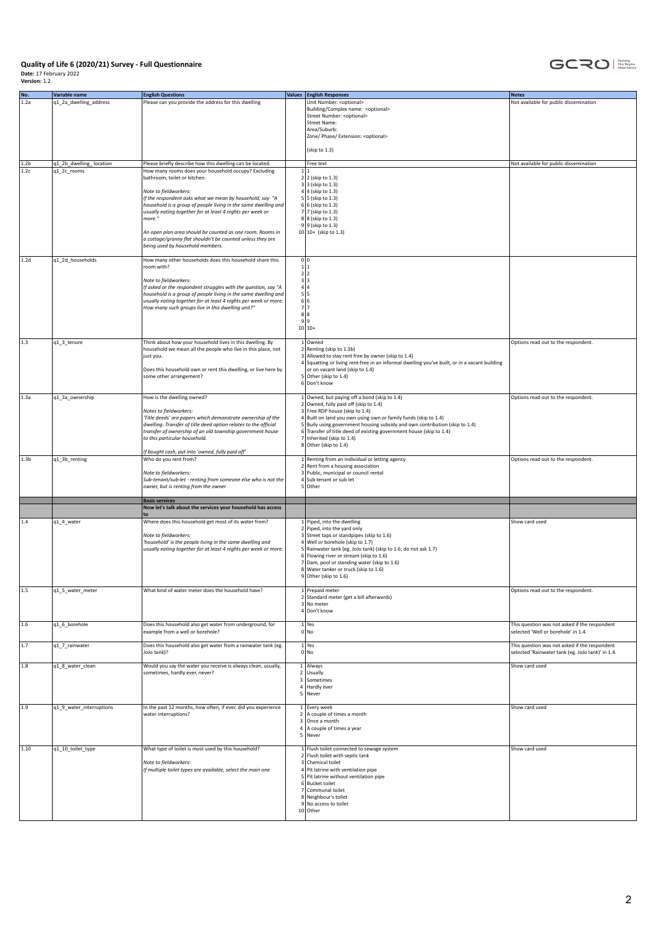

| No.                      | Variable name                          | <b>English Questions</b>                                                                                                                                                                                                                                                                                                                                                                                                  |                     | Values <b>English Responses</b>                                                                                                                                                                                                                                                                                                                                                                        | <b>Notes</b>                                                                                       |
|--------------------------|----------------------------------------|---------------------------------------------------------------------------------------------------------------------------------------------------------------------------------------------------------------------------------------------------------------------------------------------------------------------------------------------------------------------------------------------------------------------------|---------------------|--------------------------------------------------------------------------------------------------------------------------------------------------------------------------------------------------------------------------------------------------------------------------------------------------------------------------------------------------------------------------------------------------------|----------------------------------------------------------------------------------------------------|
| 1.2a                     | q1_2a_dwelling_address                 | Please can you provide the address for this dwelling                                                                                                                                                                                                                                                                                                                                                                      |                     | Unit Number: < optional><br>Building/Complex name: < optional><br>Street Number: < optional><br><b>Street Name:</b><br>Area/Suburb:<br>Zone/ Phase/ Extension: <optional><br/>(skip to 1.3)</optional>                                                                                                                                                                                                 | Not available for public dissemination                                                             |
| 1.2 <sub>b</sub><br>1.2c | q1_2b_dwelling_location<br>q1_2c_rooms | Please briefly describe how this dwelling can be located.<br>How many rooms does your household occupy? Excluding                                                                                                                                                                                                                                                                                                         |                     | Free text<br>1 1                                                                                                                                                                                                                                                                                                                                                                                       | Not available for public dissemination                                                             |
|                          |                                        | bathroom, toilet or kitchen.<br>Note to fieldworkers:<br>If the respondent asks what we mean by household, say "A<br>household is a group of people living in the same dwelling and<br>usually eating together for at least 4 nights per week or<br>more."<br>An open plan area should be counted as one room. Rooms in<br>a cottage/granny flat shouldn't be counted unless they are<br>being used by household members. |                     | $2 2$ (skip to 1.3)<br>$3 3$ (skip to 1.3)<br>$4 4$ (skip to 1.3)<br>$5 5$ (skip to 1.3)<br>$6 6$ (skip to 1.3)<br>7 7 (skip to 1.3)<br>8 8 (skip to 1.3)<br>9 9 (skip to 1.3)<br>$10 10+$ (skip to 1.3)                                                                                                                                                                                               |                                                                                                    |
| 1.2d                     | q1_2d_households                       | How many other households does this household share this<br>room with?<br>Note to fieldworkers:<br>If asked or the respondent struggles with the question, say "A<br>household is a group of people living in the same dwelling and<br>usually eating together for at least 4 nights per week or more.<br>How many such groups live in this dwelling unit?"                                                               |                     | 0 0<br>1 1<br>2 2<br>$\begin{array}{c c}\n3 & 3 \\ 4 & 4 \\ 5 & 5 \\ 6 & 6\n\end{array}$<br>7 7<br>8 8<br>9 9                                                                                                                                                                                                                                                                                          |                                                                                                    |
|                          |                                        |                                                                                                                                                                                                                                                                                                                                                                                                                           |                     | $10 10+$                                                                                                                                                                                                                                                                                                                                                                                               |                                                                                                    |
| 1.3                      | q1_3_tenure                            | Think about how your household lives in this dwelling. By<br>household we mean all the people who live in this place, not<br>just you.<br>Does this household own or rent this dwelling, or live here by<br>some other arrangement?                                                                                                                                                                                       |                     | 1 Owned<br>2 Renting (skip to 1.3b)<br>3 Allowed to stay rent free by owner (skip to 1.4)<br>4 Squatting or living rent-free in an informal dwelling you've built, or in a vacant building<br>or on vacant land (skip to 1.4)<br>5 Other (skip to 1.4)<br>6 Don't know                                                                                                                                 | Options read out to the respondent.                                                                |
| 1.3a                     | q1_3a_ownership                        | How is the dwelling owned?<br>Notes to fieldworkers:<br>'Title deeds' are papers which demonstrate ownership of the<br>dwelling. Transfer of title deed option relates to the official<br>transfer of ownership of an old township government house<br>to this particular household.<br>If bought cash, put into 'owned, fully paid off'                                                                                  |                     | 1 Owned, but paying off a bond (skip to 1.4)<br>2 Owned, fully paid off (skip to 1.4)<br>3 Free RDP house (skip to 1.4)<br>4 Built on land you own using own or family funds (skip to 1.4)<br>5 Buily using government housing subsidy and own contribution (skip to 1.4)<br>6 Transfer of title deed of existing government house (skip to 1.4)<br>7 Inherited (skip to 1.4)<br>8 Other (skip to 1.4) | Options read out to the respondent.                                                                |
| 1.3 <sub>b</sub>         | q1_3b_renting                          | Who do you rent from?<br>Note to fieldworkers:<br>Sub-tenant/sub-let - renting from someone else who is not the<br>owner, but is renting from the owner                                                                                                                                                                                                                                                                   |                     | 1 Renting from an individual or letting agency<br>2 Rent from a housing association<br>3 Public, municipal or council rental<br>4 Sub tenant or sub let<br>5 Other                                                                                                                                                                                                                                     | Options read out to the respondent.                                                                |
|                          |                                        | <b>Basic services</b><br>Now let's talk about the services your household has access                                                                                                                                                                                                                                                                                                                                      |                     |                                                                                                                                                                                                                                                                                                                                                                                                        |                                                                                                    |
| 1.4                      | q1_4_water                             | Where does this household get most of its water from?<br>Note to fieldworkers:<br>'household' is the people living in the same dwelling and<br>usually eating together for at least 4 nights per week or more.                                                                                                                                                                                                            |                     | 1 Piped, into the dwelling<br>2 Piped, into the yard only<br>3 Street taps or standpipes (skip to 1.6)<br>4 Well or borehole (skip to 1.7)<br>5 Rainwater tank (eg. JoJo tank) (skip to 1.6; do not ask 1.7)<br>6 Flowing river or stream (skip to 1.6)<br>7 Dam, pool or standing water (skip to 1.6)<br>8 Water tanker or truck (skip to 1.6)<br>$9$ Other (skip to 1.6)                             | Show card used                                                                                     |
| $1.5\,$                  | q1_5_water_meter                       | What kind of water meter does the household have?                                                                                                                                                                                                                                                                                                                                                                         |                     | 1 Prepaid meter<br>2 Standard meter (get a bill afterwards)<br>3 No meter<br>4 Don't know                                                                                                                                                                                                                                                                                                              | Options read out to the respondent.                                                                |
| 1.6                      | q1_6_borehole                          | Does this household also get water from underground, for<br>example from a well or borehole?                                                                                                                                                                                                                                                                                                                              |                     | $1$ Yes<br>$0 $ No                                                                                                                                                                                                                                                                                                                                                                                     | This question was not asked if the respondent<br>selected 'Well or borehole' in 1.4.               |
| 1.7                      | q1_7_rainwater                         | Does this household also get water from a rainwater tank (eg.<br>JoJo tank)?                                                                                                                                                                                                                                                                                                                                              |                     | $1$ Yes<br>0 No                                                                                                                                                                                                                                                                                                                                                                                        | This question was not asked if the respondent<br>selected 'Rainwater tank (eg. JoJo tank)' in 1.4. |
| 1.8                      | q1_8_water_clean                       | Would you say the water you receive is always clean, usually,<br>sometimes, hardly ever, never?                                                                                                                                                                                                                                                                                                                           | $\overline{4}$<br>5 | $1$   Always<br>2 Usually<br>3 Sometimes<br>Hardly ever<br>Never                                                                                                                                                                                                                                                                                                                                       | Show card used                                                                                     |
| 1.9                      | q1_9_water_interruptions               | In the past 12 months, how often, if ever, did you experience<br>water interruptions?                                                                                                                                                                                                                                                                                                                                     |                     | 1 Every week<br>2 A couple of times a month<br>3 Once a month<br>4 A couple of times a year<br>5 Never                                                                                                                                                                                                                                                                                                 | Show card used                                                                                     |
| $1.10\,$                 | q1_10_toilet_type                      | What type of toilet is most used by this household?<br>Note to fieldworkers:<br>If multiple toilet types are available, select the main one                                                                                                                                                                                                                                                                               |                     | 1 Flush toilet connected to sewage system<br>2 Flush toilet with septic tank<br>3 Chemical toilet<br>4 Pit latrine with ventilation pipe<br>5 Pit latrine without ventilation pipe<br>6 Bucket toilet<br>7 Communal toilet<br>8 Neighbour's toilet<br>9 No access to toilet<br>10 Other                                                                                                                | Show card used                                                                                     |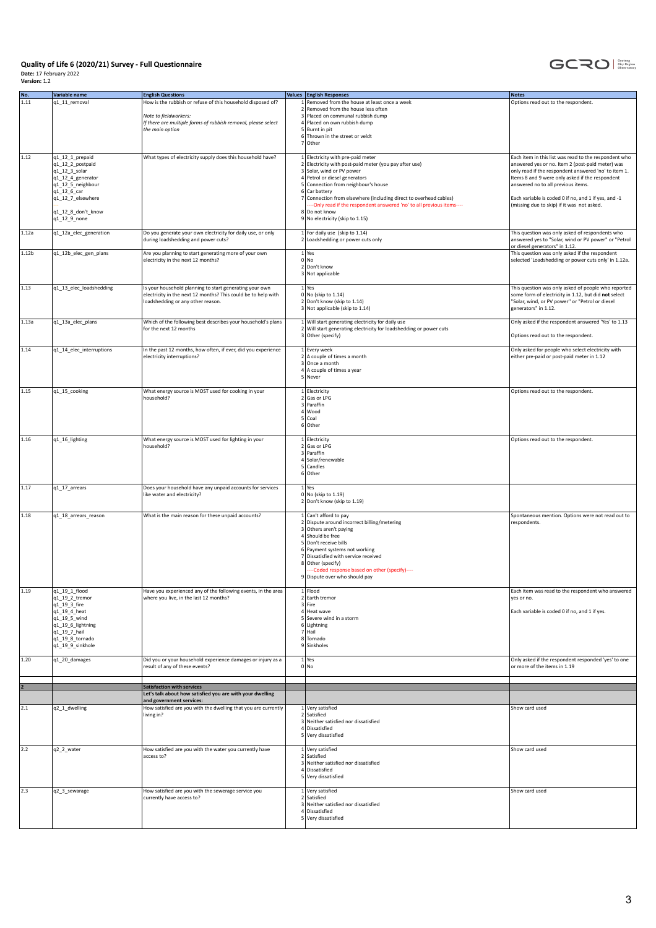

| No.               | Variable name                    | <b>English Questions</b>                                       | Values English Responses                                                           | Notes                                                                                 |
|-------------------|----------------------------------|----------------------------------------------------------------|------------------------------------------------------------------------------------|---------------------------------------------------------------------------------------|
| 1.11              | q1_11_removal                    | How is the rubbish or refuse of this household disposed of?    | 1 Removed from the house at least once a week                                      | Options read out to the respondent.                                                   |
|                   |                                  |                                                                | 2 Removed from the house less often                                                |                                                                                       |
|                   |                                  | Note to fieldworkers:                                          | 3 Placed on communal rubbish dump                                                  |                                                                                       |
|                   |                                  | If there are multiple forms of rubbish removal, please select  | 4 Placed on own rubbish dump                                                       |                                                                                       |
|                   |                                  | the main option                                                | 5 Burnt in pit                                                                     |                                                                                       |
|                   |                                  |                                                                | 6 Thrown in the street or veldt                                                    |                                                                                       |
|                   |                                  |                                                                | 7 Other                                                                            |                                                                                       |
|                   |                                  |                                                                |                                                                                    |                                                                                       |
| 1.12              |                                  |                                                                |                                                                                    |                                                                                       |
|                   | q1_12_1_prepaid                  | What types of electricity supply does this household have?     | 1 Electricity with pre-paid meter                                                  | Each item in this list was read to the respondent who                                 |
|                   | q1_12_2_postpaid                 |                                                                | 2 Electricity with post-paid meter (you pay after use)                             | answered yes or no. Item 2 (post-paid meter) was                                      |
|                   | q1_12_3_solar                    |                                                                | 3 Solar, wind or PV power                                                          | only read if the respondent answered 'no' to item 1.                                  |
|                   | q1_12_4_generator                |                                                                | 4 Petrol or diesel generators<br>5 Connection from neighbour's house               | Items 8 and 9 were only asked if the respondent<br>answered no to all previous items. |
|                   | q1_12_5_neighbour                |                                                                |                                                                                    |                                                                                       |
|                   | q1_12_6_car<br>q1_12_7_elsewhere |                                                                | 6 Car battery<br>7 Connection from elsewhere (including direct to overhead cables) | Each variable is coded 0 if no, and 1 if yes, and -1                                  |
|                   |                                  |                                                                | --- Only read if the respondent answered 'no' to all previous items----            | (missing due to skip) if it was not asked.                                            |
|                   | q1_12_8_don't_know               |                                                                | 8 Do not know                                                                      |                                                                                       |
|                   | q1_12_9_none                     |                                                                | 9 No electricity (skip to 1.15)                                                    |                                                                                       |
|                   |                                  |                                                                |                                                                                    |                                                                                       |
| 1.12a             | q1_12a_elec_generation           | Do you generate your own electricity for daily use, or only    | $1$ For daily use (skip to 1.14)                                                   | This question was only asked of respondents who                                       |
|                   |                                  | during loadshedding and power cuts?                            | 2 Loadshedding or power cuts only                                                  | answered yes to "Solar, wind or PV power" or "Petrol                                  |
|                   |                                  |                                                                |                                                                                    | or diesel generators" in 1.12.                                                        |
| 1.12 <sub>b</sub> | q1_12b_elec_gen_plans            | Are you planning to start generating more of your own          | $1$ Yes                                                                            | This question was only asked if the respondent                                        |
|                   |                                  | electricity in the next 12 months?                             | 0 No                                                                               | selected 'Loadshedding or power cuts only' in 1.12a.                                  |
|                   |                                  |                                                                | 2 Don't know                                                                       |                                                                                       |
|                   |                                  |                                                                | 3 Not applicable                                                                   |                                                                                       |
|                   |                                  |                                                                |                                                                                    |                                                                                       |
| 1.13              | q1_13_elec_loadshedding          | Is your household planning to start generating your own        | $1$ Yes                                                                            | This question was only asked of people who reported                                   |
|                   |                                  | electricity in the next 12 months? This could be to help with  | 0 No (skip to 1.14)                                                                | some form of electricity in 1.12, but did not select                                  |
|                   |                                  | loadshedding or any other reason.                              | 2 Don't know (skip to 1.14)                                                        | "Solar, wind, or PV power" or "Petrol or diesel                                       |
|                   |                                  |                                                                | 3 Not applicable (skip to 1.14)                                                    | generators" in 1.12.                                                                  |
|                   |                                  |                                                                |                                                                                    |                                                                                       |
| 1.13a             | q1_13a_elec_plans                | Which of the following best describes your household's plans   | 1 Will start generating electricity for daily use                                  | Only asked if the respondent answered 'Yes' to 1.13                                   |
|                   |                                  | for the next 12 months                                         | 2 Will start generating electricity for loadshedding or power cuts                 |                                                                                       |
|                   |                                  |                                                                | 3 Other (specify)                                                                  | Options read out to the respondent.                                                   |
|                   |                                  |                                                                |                                                                                    |                                                                                       |
| 1.14              | q1_14_elec_interruptions         | In the past 12 months, how often, if ever, did you experience  | 1 Every week                                                                       | Only asked for people who select electricity with                                     |
|                   |                                  | electricity interruptions?                                     | $2$ A couple of times a month                                                      | either pre-paid or post-paid meter in 1.12                                            |
|                   |                                  |                                                                | 3 Once a month                                                                     |                                                                                       |
|                   |                                  |                                                                | 4 A couple of times a year                                                         |                                                                                       |
|                   |                                  |                                                                | 5 Never                                                                            |                                                                                       |
|                   |                                  |                                                                |                                                                                    |                                                                                       |
| 1.15              | q1_15_cooking                    | What energy source is MOST used for cooking in your            | 1 Electricity                                                                      | Options read out to the respondent.                                                   |
|                   |                                  | household?                                                     | 2 Gas or LPG                                                                       |                                                                                       |
|                   |                                  |                                                                | 3 Paraffin                                                                         |                                                                                       |
|                   |                                  |                                                                | 4 Wood                                                                             |                                                                                       |
|                   |                                  |                                                                | 5 Coal                                                                             |                                                                                       |
|                   |                                  |                                                                | 6 Other                                                                            |                                                                                       |
|                   |                                  |                                                                |                                                                                    |                                                                                       |
| 1.16              | q1_16_lighting                   | What energy source is MOST used for lighting in your           | 1 Electricity                                                                      | Options read out to the respondent.                                                   |
|                   |                                  | household?                                                     | 2 Gas or LPG                                                                       |                                                                                       |
|                   |                                  |                                                                | 3 Paraffin                                                                         |                                                                                       |
|                   |                                  |                                                                | 4 Solar/renewable                                                                  |                                                                                       |
|                   |                                  |                                                                | 5 Candles                                                                          |                                                                                       |
|                   |                                  |                                                                | 6 Other                                                                            |                                                                                       |
|                   |                                  |                                                                |                                                                                    |                                                                                       |
| 1.17              | q1_17_arrears                    | Does your household have any unpaid accounts for services      | $1$ Yes                                                                            |                                                                                       |
|                   |                                  | like water and electricity?                                    | 0 No (skip to 1.19)                                                                |                                                                                       |
|                   |                                  |                                                                | 2 Don't know (skip to 1.19)                                                        |                                                                                       |
|                   |                                  |                                                                |                                                                                    |                                                                                       |
| 1.18              | q1_18_arrears_reason             | What is the main reason for these unpaid accounts?             | 1 Can't afford to pay<br>2 Dispute around incorrect billing/metering               | Spontaneous mention. Options were not read out to                                     |
|                   |                                  |                                                                |                                                                                    | respondents.                                                                          |
|                   |                                  |                                                                | 3 Others aren't paying                                                             |                                                                                       |
|                   |                                  |                                                                | 4 Should be free<br>5 Don't receive bills                                          |                                                                                       |
|                   |                                  |                                                                | 6 Payment systems not working                                                      |                                                                                       |
|                   |                                  |                                                                | 7 Dissatisfied with service received                                               |                                                                                       |
|                   |                                  |                                                                | 8 Other (specify)                                                                  |                                                                                       |
|                   |                                  |                                                                | --- Coded response based on other (specify)----                                    |                                                                                       |
|                   |                                  |                                                                | 9 Dispute over who should pay                                                      |                                                                                       |
|                   |                                  |                                                                |                                                                                    |                                                                                       |
| 1.19              | q1_19_1_flood                    | Have you experienced any of the following events, in the area  | 1 Flood                                                                            | Each item was read to the respondent who answered                                     |
|                   | q1_19_2_tremor                   | where you live, in the last 12 months?                         | 2 Earth tremor                                                                     | yes or no.                                                                            |
|                   | q1_19_3_fire                     |                                                                | 3 Fire                                                                             |                                                                                       |
|                   | q1_19_4_heat                     |                                                                | 4 Heat wave                                                                        | Each variable is coded 0 if no, and 1 if yes.                                         |
|                   | q1_19_5_wind                     |                                                                | 5 Severe wind in a storm                                                           |                                                                                       |
|                   | q1_19_6_lightning                |                                                                | 6 Lightning                                                                        |                                                                                       |
|                   | q1_19_7_hail                     |                                                                | 7 Hail                                                                             |                                                                                       |
|                   | q1_19_8_tornado                  |                                                                | 8 Tornado                                                                          |                                                                                       |
|                   | q1_19_9_sinkhole                 |                                                                | 9 Sinkholes                                                                        |                                                                                       |
|                   |                                  |                                                                |                                                                                    |                                                                                       |
| 1.20              | q1_20_damages                    | Did you or your household experience damages or injury as a    | $1$ Yes                                                                            | Only asked if the respondent responded 'yes' to one                                   |
|                   |                                  | result of any of these events?                                 | $0 $ No                                                                            | or more of the items in 1.19                                                          |
|                   |                                  |                                                                |                                                                                    |                                                                                       |
|                   |                                  |                                                                |                                                                                    |                                                                                       |
|                   |                                  | <b>Satisfaction with services</b>                              |                                                                                    |                                                                                       |
|                   |                                  | Let's talk about how satisfied you are with your dwelling      |                                                                                    |                                                                                       |
|                   |                                  | and government services:                                       |                                                                                    |                                                                                       |
| 2.1               | q2_1_dwelling                    | How satisfied are you with the dwelling that you are currently | 1 Very satisfied                                                                   | Show card used                                                                        |
|                   |                                  | living in?                                                     | 2 Satisfied                                                                        |                                                                                       |
|                   |                                  |                                                                | 3 Neither satisfied nor dissatisfied                                               |                                                                                       |
|                   |                                  |                                                                | 4 Dissatisfied                                                                     |                                                                                       |
|                   |                                  |                                                                | 5 Very dissatisfied                                                                |                                                                                       |
|                   |                                  |                                                                |                                                                                    |                                                                                       |
| 2.2               | q2_2_water                       | How satisfied are you with the water you currently have        | 1 Very satisfied                                                                   | Show card used                                                                        |
|                   |                                  | access to?                                                     | 2 Satisfied                                                                        |                                                                                       |
|                   |                                  |                                                                | 3 Neither satisfied nor dissatisfied                                               |                                                                                       |
|                   |                                  |                                                                | 4 Dissatisfied                                                                     |                                                                                       |
|                   |                                  |                                                                | 5 Very dissatisfied                                                                |                                                                                       |
|                   |                                  |                                                                |                                                                                    |                                                                                       |
| 2.3               | q2_3_sewarage                    | How satisfied are you with the sewerage service you            | 1 Very satisfied                                                                   | Show card used                                                                        |
|                   |                                  | currently have access to?                                      | 2 Satisfied                                                                        |                                                                                       |
|                   |                                  |                                                                | 3 Neither satisfied nor dissatisfied                                               |                                                                                       |
|                   |                                  |                                                                | 4 Dissatisfied                                                                     |                                                                                       |
|                   |                                  |                                                                | 5 Very dissatisfied                                                                |                                                                                       |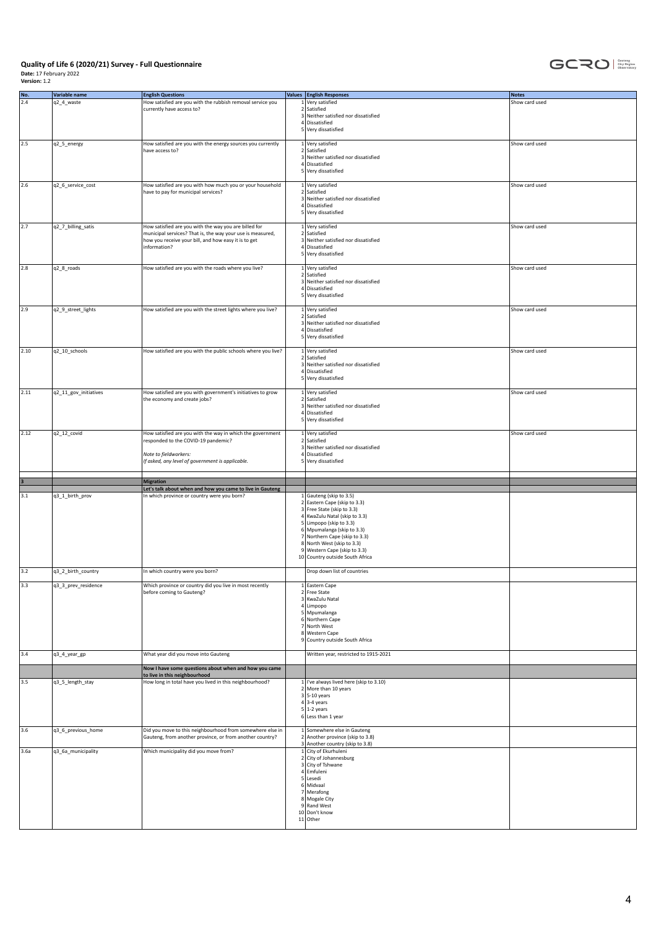

| No.  | Variable name         | <b>English Questions</b>                                                                                 |   | Values English Responses                                          | <b>Notes</b>   |
|------|-----------------------|----------------------------------------------------------------------------------------------------------|---|-------------------------------------------------------------------|----------------|
| 2.4  | q2_4_waste            | How satisfied are you with the rubbish removal service you                                               |   | 1 Very satisfied                                                  | Show card used |
|      |                       | currently have access to?                                                                                |   | 2 Satisfied                                                       |                |
|      |                       |                                                                                                          |   | 3 Neither satisfied nor dissatisfied<br>4 Dissatisfied            |                |
|      |                       |                                                                                                          |   | 5 Very dissatisfied                                               |                |
|      |                       |                                                                                                          |   |                                                                   |                |
| 2.5  | q2_5_energy           | How satisfied are you with the energy sources you currently                                              |   | 1 Very satisfied                                                  | Show card used |
|      |                       | have access to?                                                                                          |   | 2 Satisfied<br>3 Neither satisfied nor dissatisfied               |                |
|      |                       |                                                                                                          |   | Dissatisfied                                                      |                |
|      |                       |                                                                                                          |   | 5 Very dissatisfied                                               |                |
|      |                       |                                                                                                          |   |                                                                   |                |
| 2.6  | q2_6_service_cost     | How satisfied are you with how much you or your household<br>have to pay for municipal services?         |   | 1 Very satisfied<br>2 Satisfied                                   | Show card used |
|      |                       |                                                                                                          |   | 3 Neither satisfied nor dissatisfied                              |                |
|      |                       |                                                                                                          |   | 4 Dissatisfied                                                    |                |
|      |                       |                                                                                                          |   | 5 Very dissatisfied                                               |                |
| 2.7  | q2_7_billing_satis    | How satisfied are you with the way you are billed for                                                    |   | 1 Very satisfied                                                  | Show card used |
|      |                       | municipal services? That is, the way your use is measured,                                               |   | 2 Satisfied                                                       |                |
|      |                       | how you receive your bill, and how easy it is to get                                                     |   | 3 Neither satisfied nor dissatisfied                              |                |
|      |                       | information?                                                                                             |   | Dissatisfied                                                      |                |
|      |                       |                                                                                                          |   | 5 Very dissatisfied                                               |                |
| 2.8  | q2_8_roads            | How satisfied are you with the roads where you live?                                                     |   | 1 Very satisfied                                                  | Show card used |
|      |                       |                                                                                                          |   | 2 Satisfied                                                       |                |
|      |                       |                                                                                                          |   | 3 Neither satisfied nor dissatisfied<br>4 Dissatisfied            |                |
|      |                       |                                                                                                          |   | 5 Very dissatisfied                                               |                |
|      |                       |                                                                                                          |   |                                                                   |                |
| 2.9  | q2_9_street_lights    | How satisfied are you with the street lights where you live?                                             |   | 1 Very satisfied                                                  | Show card used |
|      |                       |                                                                                                          |   | 2 Satisfied<br>3 Neither satisfied nor dissatisfied               |                |
|      |                       |                                                                                                          |   | 4 Dissatisfied                                                    |                |
|      |                       |                                                                                                          |   | 5 Very dissatisfied                                               |                |
|      |                       |                                                                                                          |   |                                                                   |                |
| 2.10 | q2_10_schools         | How satisfied are you with the public schools where you live?                                            |   | 1 Very satisfied<br>2 Satisfied                                   | Show card used |
|      |                       |                                                                                                          |   | 3 Neither satisfied nor dissatisfied                              |                |
|      |                       |                                                                                                          |   | 4 Dissatisfied                                                    |                |
|      |                       |                                                                                                          |   | 5 Very dissatisfied                                               |                |
| 2.11 |                       | How satisfied are you with government's initiatives to grow                                              |   | 1 Very satisfied                                                  |                |
|      | q2_11_gov_initiatives | the economy and create jobs?                                                                             |   | 2 Satisfied                                                       | Show card used |
|      |                       |                                                                                                          |   | 3 Neither satisfied nor dissatisfied                              |                |
|      |                       |                                                                                                          |   | Dissatisfied                                                      |                |
|      |                       |                                                                                                          |   | 5 Very dissatisfied                                               |                |
| 2.12 | q2_12_covid           | How satisfied are you with the way in which the government                                               |   | 1 Very satisfied                                                  | Show card used |
|      |                       | responded to the COVID-19 pandemic?                                                                      |   | 2 Satisfied                                                       |                |
|      |                       |                                                                                                          |   | 3 Neither satisfied nor dissatisfied                              |                |
|      |                       | Note to fieldworkers:                                                                                    |   | 4 Dissatisfied                                                    |                |
|      |                       | If asked, any level of government is applicable.                                                         | 5 | Very dissatisfied                                                 |                |
|      |                       |                                                                                                          |   |                                                                   |                |
|      |                       | <b>Migration</b>                                                                                         |   |                                                                   |                |
| 3.1  | q3_1_birth_prov       | Let's talk about when and how you came to live in Gauteng<br>In which province or country were you born? |   | 1 Gauteng (skip to 3.5)                                           |                |
|      |                       |                                                                                                          |   | 2 Eastern Cape (skip to 3.3)                                      |                |
|      |                       |                                                                                                          |   | 3 Free State (skip to 3.3)                                        |                |
|      |                       |                                                                                                          |   | 4 KwaZulu Natal (skip to 3.3)<br>5 Limpopo (skip to 3.3)          |                |
|      |                       |                                                                                                          |   | 6 Mpumalanga (skip to 3.3)                                        |                |
|      |                       |                                                                                                          |   | 7 Northern Cape (skip to 3.3)                                     |                |
|      |                       |                                                                                                          |   | 8 North West (skip to 3.3)                                        |                |
|      |                       |                                                                                                          |   | 9 Western Cape (skip to 3.3)<br>10 Country outside South Africa   |                |
|      |                       |                                                                                                          |   |                                                                   |                |
| 3.2  | q3_2_birth_country    | In which country were you born?                                                                          |   | Drop down list of countries                                       |                |
|      |                       |                                                                                                          |   |                                                                   |                |
| 3.3  | q3_3_prev_residence   | Which province or country did you live in most recently<br>before coming to Gauteng?                     |   | 1 Eastern Cape<br>2 Free State                                    |                |
|      |                       |                                                                                                          |   | 3 KwaZulu Natal                                                   |                |
|      |                       |                                                                                                          |   | 4 Limpopo                                                         |                |
|      |                       |                                                                                                          |   | 5 Mpumalanga                                                      |                |
|      |                       |                                                                                                          |   | 6 Northern Cape<br>7 North West                                   |                |
|      |                       |                                                                                                          |   | 8 Western Cape                                                    |                |
|      |                       |                                                                                                          |   | 9 Country outside South Africa                                    |                |
| 3.4  |                       |                                                                                                          |   | Written year, restricted to 1915-2021                             |                |
|      | q3_4_year_gp          | What year did you move into Gauteng                                                                      |   |                                                                   |                |
|      |                       | Now I have some questions about when and how you came                                                    |   |                                                                   |                |
|      |                       | to live in this neighbourhood                                                                            |   |                                                                   |                |
| 3.5  | q3_5_length_stay      | How long in total have you lived in this neighbourhood?                                                  |   | 1   I've always lived here (skip to 3.10)<br>2 More than 10 years |                |
|      |                       |                                                                                                          |   | $3 5-10$ years                                                    |                |
|      |                       |                                                                                                          |   | $4 3-4$ years                                                     |                |
|      |                       |                                                                                                          |   | $5 1-2$ years                                                     |                |
|      |                       |                                                                                                          |   | 6 Less than 1 year                                                |                |
| 3.6  | q3_6_previous_home    | Did you move to this neighbourhood from somewhere else in                                                |   | 1 Somewhere else in Gauteng                                       |                |
|      |                       | Gauteng, from another province, or from another country?                                                 |   | 2 Another province (skip to 3.8)                                  |                |
|      |                       |                                                                                                          |   | 3 Another country (skip to 3.8)                                   |                |
| 3.6a | q3_6a_municipality    | Which municipality did you move from?                                                                    |   | 1 City of Ekurhuleni<br>2 City of Johannesburg                    |                |
|      |                       |                                                                                                          |   | 3 City of Tshwane                                                 |                |
|      |                       |                                                                                                          |   | 4 Emfuleni                                                        |                |
|      |                       |                                                                                                          |   | 5 Lesedi                                                          |                |
|      |                       |                                                                                                          |   | 6 Midvaal<br>7 Merafong                                           |                |
|      |                       |                                                                                                          |   | 8 Mogale City                                                     |                |
|      |                       |                                                                                                          |   | 9 Rand West                                                       |                |
|      |                       |                                                                                                          |   | 10 Don't know<br>$11$ Other                                       |                |
|      |                       |                                                                                                          |   |                                                                   |                |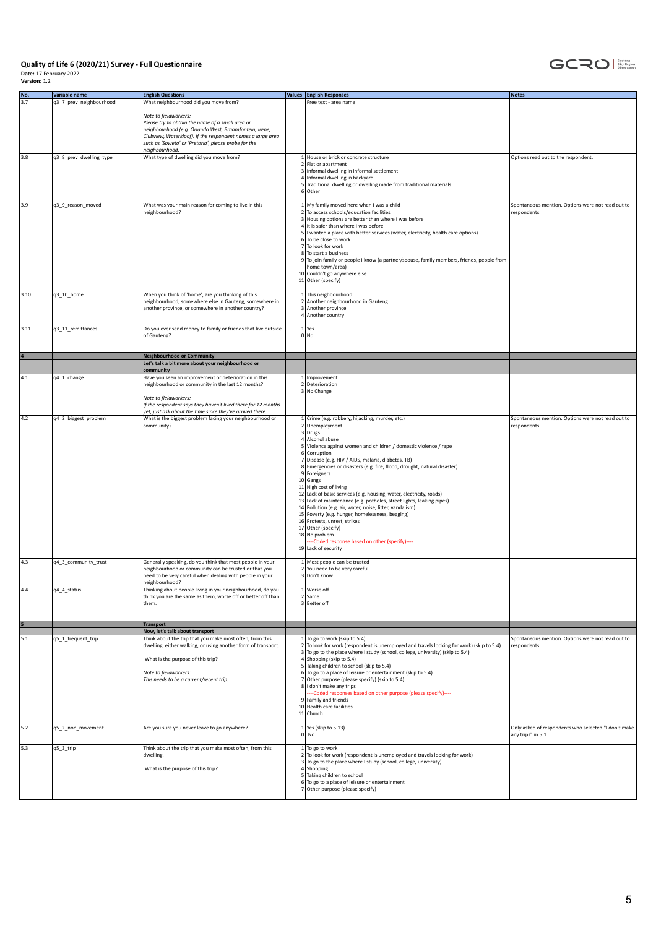

| No.  | Variable name           | <b>English Questions</b>                                                                                                                                                                                                                                                     | Values <b>English Responses</b>                                                                                                                                                                                                                                                                                                                                                                                                                                                                                                                                                                                                                                                                                                       | <b>Notes</b>                                                              |
|------|-------------------------|------------------------------------------------------------------------------------------------------------------------------------------------------------------------------------------------------------------------------------------------------------------------------|---------------------------------------------------------------------------------------------------------------------------------------------------------------------------------------------------------------------------------------------------------------------------------------------------------------------------------------------------------------------------------------------------------------------------------------------------------------------------------------------------------------------------------------------------------------------------------------------------------------------------------------------------------------------------------------------------------------------------------------|---------------------------------------------------------------------------|
| 3.7  | q3_7_prev_neighbourhood | What neighbourhood did you move from?                                                                                                                                                                                                                                        | Free text - area name                                                                                                                                                                                                                                                                                                                                                                                                                                                                                                                                                                                                                                                                                                                 |                                                                           |
|      |                         | Note to fieldworkers:<br>Please try to obtain the name of a small area or<br>neighbourhood (e.g. Orlando West, Braamfontein, Irene,<br>Clubview, Waterkloof). If the respondent names a large area<br>such as 'Soweto' or 'Pretoria', please probe for the<br>neighbourhood. |                                                                                                                                                                                                                                                                                                                                                                                                                                                                                                                                                                                                                                                                                                                                       |                                                                           |
| 3.8  | q3_8_prev_dwelling_type | What type of dwelling did you move from?                                                                                                                                                                                                                                     | 1 House or brick or concrete structure<br>2 Flat or apartment<br>3 Informal dwelling in informal settlement<br>4 Informal dwelling in backyard<br>5 Traditional dwelling or dwelling made from traditional materials<br>6 Other                                                                                                                                                                                                                                                                                                                                                                                                                                                                                                       | Options read out to the respondent.                                       |
| 3.9  | q3_9_reason_moved       | What was your main reason for coming to live in this<br>neighbourhood?                                                                                                                                                                                                       | 1 My family moved here when I was a child<br>2 To access schools/education facilities<br>3 Housing options are better than where I was before<br>4 It is safer than where I was before<br>5   I wanted a place with better services (water, electricity, health care options)<br>6 To be close to work<br>7 To look for work<br>8 To start a business<br>9 To join family or people I know (a partner/spouse, family members, friends, people from<br>home town/area)<br>10 Couldn't go anywhere else<br>11 Other (specify)                                                                                                                                                                                                           | Spontaneous mention. Options were not read out to<br>respondents.         |
| 3.10 | q3_10_home              | When you think of 'home', are you thinking of this<br>neighbourhood, somewhere else in Gauteng, somewhere in<br>another province, or somewhere in another country?                                                                                                           | 1 This neighbourhood<br>2 Another neighbourhood in Gauteng<br>3 Another province<br>4 Another country                                                                                                                                                                                                                                                                                                                                                                                                                                                                                                                                                                                                                                 |                                                                           |
| 3.11 | q3_11_remittances       | Do you ever send money to family or friends that live outside<br>of Gauteng?                                                                                                                                                                                                 | $1$ Yes<br>0 No                                                                                                                                                                                                                                                                                                                                                                                                                                                                                                                                                                                                                                                                                                                       |                                                                           |
|      |                         | <b>Neighbourhood or Community</b>                                                                                                                                                                                                                                            |                                                                                                                                                                                                                                                                                                                                                                                                                                                                                                                                                                                                                                                                                                                                       |                                                                           |
|      |                         | Let's talk a bit more about your neighbourhood or                                                                                                                                                                                                                            |                                                                                                                                                                                                                                                                                                                                                                                                                                                                                                                                                                                                                                                                                                                                       |                                                                           |
|      |                         | community                                                                                                                                                                                                                                                                    |                                                                                                                                                                                                                                                                                                                                                                                                                                                                                                                                                                                                                                                                                                                                       |                                                                           |
| 4.1  | q4_1_change             | Have you seen an improvement or deterioration in this<br>neighbourhood or community in the last 12 months?                                                                                                                                                                   | 1 Improvement<br>2 Deterioration<br>3 No Change                                                                                                                                                                                                                                                                                                                                                                                                                                                                                                                                                                                                                                                                                       |                                                                           |
|      |                         | Note to fieldworkers:<br>If the respondent says they haven't lived there for 12 months<br>yet, just ask about the time since they've arrived there.                                                                                                                          |                                                                                                                                                                                                                                                                                                                                                                                                                                                                                                                                                                                                                                                                                                                                       |                                                                           |
| 4.2  | q4_2_biggest_problem    | What is the biggest problem facing your neighbourhood or                                                                                                                                                                                                                     | 1 Crime (e.g. robbery, hijacking, murder, etc.)                                                                                                                                                                                                                                                                                                                                                                                                                                                                                                                                                                                                                                                                                       | Spontaneous mention. Options were not read out to                         |
|      |                         | community?                                                                                                                                                                                                                                                                   | 2 Unemployment<br>3 Drugs<br>4 Alcohol abuse<br>5 Violence against women and children / domestic violence / rape<br>6 Corruption<br>7 Disease (e.g. HIV / AIDS, malaria, diabetes, TB)<br>8 Emergencies or disasters (e.g. fire, flood, drought, natural disaster)<br>9 Foreigners<br>10 Gangs<br>11 High cost of living<br>12 Lack of basic services (e.g. housing, water, electricity, roads)<br>13 Lack of maintenance (e.g. potholes, street lights, leaking pipes)<br>14 Pollution (e.g. air, water, noise, litter, vandalism)<br>15 Poverty (e.g. hunger, homelessness, begging)<br>16 Protests, unrest, strikes<br>17 Other (specify)<br>18 No problem<br>--Coded response based on other (specify)----<br>19 Lack of security | respondents.                                                              |
| 4.3  | q4_3_community_trust    | Generally speaking, do you think that most people in your<br>neighbourhood or community can be trusted or that you<br>need to be very careful when dealing with people in your<br>eighbourhood?                                                                              | 1 Most people can be trusted<br>2 You need to be very careful<br>3 Don't know                                                                                                                                                                                                                                                                                                                                                                                                                                                                                                                                                                                                                                                         |                                                                           |
| 4.4  | q4_4_status             | Thinking about people living in your neighbourhood, do you<br>think you are the same as them, worse off or better off than<br>them.                                                                                                                                          | 1 Worse off<br>2 Same<br>3 Better off                                                                                                                                                                                                                                                                                                                                                                                                                                                                                                                                                                                                                                                                                                 |                                                                           |
|      |                         | <b>Transport</b>                                                                                                                                                                                                                                                             |                                                                                                                                                                                                                                                                                                                                                                                                                                                                                                                                                                                                                                                                                                                                       |                                                                           |
|      |                         | Now, let's talk about transport                                                                                                                                                                                                                                              |                                                                                                                                                                                                                                                                                                                                                                                                                                                                                                                                                                                                                                                                                                                                       |                                                                           |
| 5.1  | q5_1_frequent_trip      | Think about the trip that you make most often, from this<br>dwelling, either walking, or using another form of transport.<br>What is the purpose of this trip?<br>Note to fieldworkers:<br>This needs to be a current/recent trip.                                           | 1 To go to work (skip to 5.4)<br>2 To look for work (respondent is unemployed and travels looking for work) (skip to 5.4)<br>3 To go to the place where I study (school, college, university) (skip to 5.4)<br>4 Shopping (skip to 5.4)<br>5 Taking children to school (skip to 5.4)<br>6 To go to a place of leisure or entertainment (skip to 5.4)<br>7 Other purpose (please specify) (skip to 5.4)<br>8 I don't make any trips<br>---Coded responses based on other purpose (please specify)----<br>9 Family and friends<br>10 Health care facilities<br>11 Church                                                                                                                                                                | Spontaneous mention. Options were not read out to<br>respondents.         |
| 5.2  | q5_2_non_movement       | Are you sure you never leave to go anywhere?                                                                                                                                                                                                                                 | $1$ Yes (skip to 5.13)<br>$0 $ No                                                                                                                                                                                                                                                                                                                                                                                                                                                                                                                                                                                                                                                                                                     | Only asked of respondents who selected "I don't make<br>any trips" in 5.1 |
| 5.3  | q5_3_trip               | Think about the trip that you make most often, from this<br>dwelling.<br>What is the purpose of this trip?                                                                                                                                                                   | $1$ To go to work<br>2 To look for work (respondent is unemployed and travels looking for work)<br>3 To go to the place where I study (school, college, university)<br>4 Shopping<br>5 Taking children to school<br>6 To go to a place of leisure or entertainment<br>7 Other purpose (please specify)                                                                                                                                                                                                                                                                                                                                                                                                                                |                                                                           |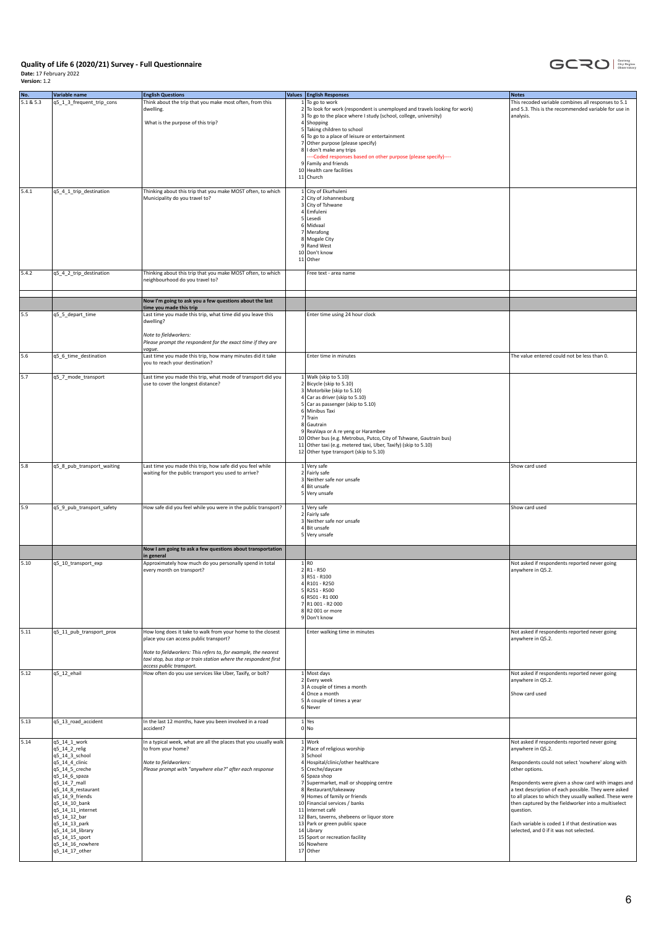

| No.       | Variable name                      | <b>English Questions</b>                                                                                                          | Values <b>English Responses</b>                                                                                                                | <b>Notes</b>                                                                                               |
|-----------|------------------------------------|-----------------------------------------------------------------------------------------------------------------------------------|------------------------------------------------------------------------------------------------------------------------------------------------|------------------------------------------------------------------------------------------------------------|
| 5.1 & 5.3 | q5_1_3_frequent_trip_cons          | Think about the trip that you make most often, from this                                                                          | $1$ To go to work                                                                                                                              | This recoded variable combines all responses to 5.1                                                        |
|           |                                    | dwelling.                                                                                                                         | 2 To look for work (respondent is unemployed and travels looking for work)<br>3 To go to the place where I study (school, college, university) | and 5.3. This is the recommended variable for use in<br>analysis.                                          |
|           |                                    | What is the purpose of this trip?                                                                                                 | 4 Shopping                                                                                                                                     |                                                                                                            |
|           |                                    |                                                                                                                                   | 5 Taking children to school                                                                                                                    |                                                                                                            |
|           |                                    |                                                                                                                                   | 6 To go to a place of leisure or entertainment                                                                                                 |                                                                                                            |
|           |                                    |                                                                                                                                   | 7 Other purpose (please specify)<br>8 I don't make any trips                                                                                   |                                                                                                            |
|           |                                    |                                                                                                                                   | --- Coded responses based on other purpose (please specify)----                                                                                |                                                                                                            |
|           |                                    |                                                                                                                                   | 9 Family and friends                                                                                                                           |                                                                                                            |
|           |                                    |                                                                                                                                   | 10 Health care facilities                                                                                                                      |                                                                                                            |
|           |                                    |                                                                                                                                   | 11 Church                                                                                                                                      |                                                                                                            |
| 5.4.1     | q5_4_1_trip_destination            | Thinking about this trip that you make MOST often, to which                                                                       | 1 City of Ekurhuleni                                                                                                                           |                                                                                                            |
|           |                                    | Municipality do you travel to?                                                                                                    | 2 City of Johannesburg                                                                                                                         |                                                                                                            |
|           |                                    |                                                                                                                                   | 3 City of Tshwane                                                                                                                              |                                                                                                            |
|           |                                    |                                                                                                                                   | 4 Emfuleni<br>5 Lesedi                                                                                                                         |                                                                                                            |
|           |                                    |                                                                                                                                   | 6 Midvaal                                                                                                                                      |                                                                                                            |
|           |                                    |                                                                                                                                   | 7 Merafong                                                                                                                                     |                                                                                                            |
|           |                                    |                                                                                                                                   | 8 Mogale City                                                                                                                                  |                                                                                                            |
|           |                                    |                                                                                                                                   | 9 Rand West<br>10 Don't know                                                                                                                   |                                                                                                            |
|           |                                    |                                                                                                                                   | $11$ Other                                                                                                                                     |                                                                                                            |
|           |                                    |                                                                                                                                   |                                                                                                                                                |                                                                                                            |
| 5.4.2     | q5_4_2_trip_destination            | Thinking about this trip that you make MOST often, to which                                                                       | Free text - area name                                                                                                                          |                                                                                                            |
|           |                                    | neighbourhood do you travel to?                                                                                                   |                                                                                                                                                |                                                                                                            |
|           |                                    |                                                                                                                                   |                                                                                                                                                |                                                                                                            |
|           |                                    | Now I'm going to ask you a few questions about the last                                                                           |                                                                                                                                                |                                                                                                            |
| 5.5       | q5_5_depart_time                   | time you made this trip<br>Last time you made this trip, what time did you leave this                                             | Enter time using 24 hour clock                                                                                                                 |                                                                                                            |
|           |                                    | dwelling?                                                                                                                         |                                                                                                                                                |                                                                                                            |
|           |                                    |                                                                                                                                   |                                                                                                                                                |                                                                                                            |
|           |                                    | Note to fieldworkers:                                                                                                             |                                                                                                                                                |                                                                                                            |
|           |                                    | Please prompt the respondent for the exact time if they are<br>vague.                                                             |                                                                                                                                                |                                                                                                            |
| 5.6       | q5_6_time_destination              | Last time you made this trip, how many minutes did it take                                                                        | Enter time in minutes                                                                                                                          | The value entered could not be less than 0.                                                                |
|           |                                    | you to reach your destination?                                                                                                    |                                                                                                                                                |                                                                                                            |
|           |                                    |                                                                                                                                   |                                                                                                                                                |                                                                                                            |
| 5.7       | q5_7_mode_transport                | Last time you made this trip, what mode of transport did you                                                                      | 1 Walk (skip to 5.10)<br>2 Bicycle (skip to 5.10)                                                                                              |                                                                                                            |
|           |                                    | use to cover the longest distance?                                                                                                | 3 Motorbike (skip to 5.10)                                                                                                                     |                                                                                                            |
|           |                                    |                                                                                                                                   | 4 Car as driver (skip to 5.10)                                                                                                                 |                                                                                                            |
|           |                                    |                                                                                                                                   | 5 Car as passenger (skip to 5.10)                                                                                                              |                                                                                                            |
|           |                                    |                                                                                                                                   | 6 Minibus Taxi                                                                                                                                 |                                                                                                            |
|           |                                    |                                                                                                                                   | 7 Train<br>8 Gautrain                                                                                                                          |                                                                                                            |
|           |                                    |                                                                                                                                   | 9 ReaVaya or A re yeng or Harambee                                                                                                             |                                                                                                            |
|           |                                    |                                                                                                                                   | 10 Other bus (e.g. Metrobus, Putco, City of Tshwane, Gautrain bus)                                                                             |                                                                                                            |
|           |                                    |                                                                                                                                   | 11 Other taxi (e.g. metered taxi, Uber, Taxify) (skip to 5.10)                                                                                 |                                                                                                            |
|           |                                    |                                                                                                                                   | 12 Other type transport (skip to 5.10)                                                                                                         |                                                                                                            |
| 5.8       | q5_8_pub_transport_waiting         | Last time you made this trip, how safe did you feel while                                                                         | 1 Very safe                                                                                                                                    | Show card used                                                                                             |
|           |                                    | waiting for the public transport you used to arrive?                                                                              | 2 Fairly safe                                                                                                                                  |                                                                                                            |
|           |                                    |                                                                                                                                   | 3 Neither safe nor unsafe                                                                                                                      |                                                                                                            |
|           |                                    |                                                                                                                                   | 4 Bit unsafe<br>5 Very unsafe                                                                                                                  |                                                                                                            |
|           |                                    |                                                                                                                                   |                                                                                                                                                |                                                                                                            |
| 5.9       | q5_9_pub_transport_safety          | How safe did you feel while you were in the public transport?                                                                     | 1 Very safe                                                                                                                                    | Show card used                                                                                             |
|           |                                    |                                                                                                                                   | 2 Fairly safe                                                                                                                                  |                                                                                                            |
|           |                                    |                                                                                                                                   | 3 Neither safe nor unsafe<br>4 Bit unsafe                                                                                                      |                                                                                                            |
|           |                                    |                                                                                                                                   | 5 Very unsafe                                                                                                                                  |                                                                                                            |
|           |                                    |                                                                                                                                   |                                                                                                                                                |                                                                                                            |
|           |                                    | Now I am going to ask a few questions about transportation                                                                        |                                                                                                                                                |                                                                                                            |
| 5.10      | q5_10_transport_exp                | in general<br>Approximately how much do you personally spend in total                                                             | 1 R0                                                                                                                                           | Not asked if respondents reported never going                                                              |
|           |                                    | every month on transport?                                                                                                         | $2$ R <sub>1</sub> - R <sub>50</sub>                                                                                                           | anywhere in Q5.2.                                                                                          |
|           |                                    |                                                                                                                                   | $3$ R51 - R100                                                                                                                                 |                                                                                                            |
|           |                                    |                                                                                                                                   | 4 R101 - R250<br>$5$ R251 - R500                                                                                                               |                                                                                                            |
|           |                                    |                                                                                                                                   | 6 R501 - R1 000                                                                                                                                |                                                                                                            |
|           |                                    |                                                                                                                                   | 7 R1 001 - R2 000                                                                                                                              |                                                                                                            |
|           |                                    |                                                                                                                                   | 8 R2 001 or more                                                                                                                               |                                                                                                            |
|           |                                    |                                                                                                                                   | 9 Don't know                                                                                                                                   |                                                                                                            |
| 5.11      | q5_11_pub_transport_prox           | How long does it take to walk from your home to the closest                                                                       | Enter walking time in minutes                                                                                                                  | Not asked if respondents reported never going                                                              |
|           |                                    | place you can access public transport?                                                                                            |                                                                                                                                                | anywhere in Q5.2.                                                                                          |
|           |                                    |                                                                                                                                   |                                                                                                                                                |                                                                                                            |
|           |                                    | Note to fieldworkers: This refers to, for example, the nearest<br>taxi stop, bus stop or train station where the respondent first |                                                                                                                                                |                                                                                                            |
|           |                                    | access public transport.                                                                                                          |                                                                                                                                                |                                                                                                            |
| 5.12      | q5_12_ehail                        | How often do you use services like Uber, Taxify, or bolt?                                                                         | 1 Most days                                                                                                                                    | Not asked if respondents reported never going                                                              |
|           |                                    |                                                                                                                                   | 2 Every week                                                                                                                                   | anywhere in Q5.2.                                                                                          |
|           |                                    |                                                                                                                                   | 3 A couple of times a month<br>4 Once a month                                                                                                  | Show card used                                                                                             |
|           |                                    |                                                                                                                                   | 5 A couple of times a year                                                                                                                     |                                                                                                            |
|           |                                    |                                                                                                                                   | 6 Never                                                                                                                                        |                                                                                                            |
| 5.13      | q5_13_road_accident                | In the last 12 months, have you been involved in a road                                                                           | $1$ Yes                                                                                                                                        |                                                                                                            |
|           |                                    | accident?                                                                                                                         | $0 $ No                                                                                                                                        |                                                                                                            |
|           |                                    |                                                                                                                                   |                                                                                                                                                |                                                                                                            |
| 5.14      | q5_14_1_work                       | In a typical week, what are all the places that you usually walk                                                                  | 1 Work<br>2 Place of religious worship                                                                                                         | Not asked if respondents reported never going                                                              |
|           | q5_14_2_relig<br>q5_14_3_school    | to from your home?                                                                                                                | 3 School                                                                                                                                       | anywhere in Q5.2.                                                                                          |
|           | q5_14_4_clinic                     | Note to fieldworkers:                                                                                                             | 4 Hospital/clinic/other healthcare                                                                                                             | Respondents could not select 'nowhere' along with                                                          |
|           | q5_14_5_creche                     | Please prompt with "anywhere else?" after each response                                                                           | 5 Creche/daycare                                                                                                                               | other options.                                                                                             |
|           | q5_14_6_spaza                      |                                                                                                                                   | 6 Spaza shop                                                                                                                                   |                                                                                                            |
|           | q5_14_7_mall<br>q5_14_8_restaurant |                                                                                                                                   | 7 Supermarket, mall or shopping centre<br>8 Restaurant/takeaway                                                                                | Respondents were given a show card with images and<br>a text description of each possible. They were asked |
|           | q5_14_9_friends                    |                                                                                                                                   | 9 Homes of family or friends                                                                                                                   | to all places to which they usually walked. These were                                                     |
|           | q5_14_10_bank                      |                                                                                                                                   | 10 Financial services / banks                                                                                                                  | then captured by the fieldworker into a multiselect                                                        |
|           | q5_14_11_internet<br>q5_14_12_bar  |                                                                                                                                   | 11 Internet café<br>12 Bars, taverns, shebeens or liquor store                                                                                 | question.                                                                                                  |
|           | q5_14_13_park                      |                                                                                                                                   | 13 Park or green public space                                                                                                                  | Each variable is coded 1 if that destination was                                                           |
|           | q5_14_14_library                   |                                                                                                                                   | 14 Library                                                                                                                                     | selected, and 0 if it was not selected.                                                                    |
|           | q5_14_15_sport                     |                                                                                                                                   | 15 Sport or recreation facility                                                                                                                |                                                                                                            |
|           | q5_14_16_nowhere                   |                                                                                                                                   | 16 Nowhere                                                                                                                                     |                                                                                                            |
|           | q5_14_17_other                     |                                                                                                                                   | 17 Other                                                                                                                                       |                                                                                                            |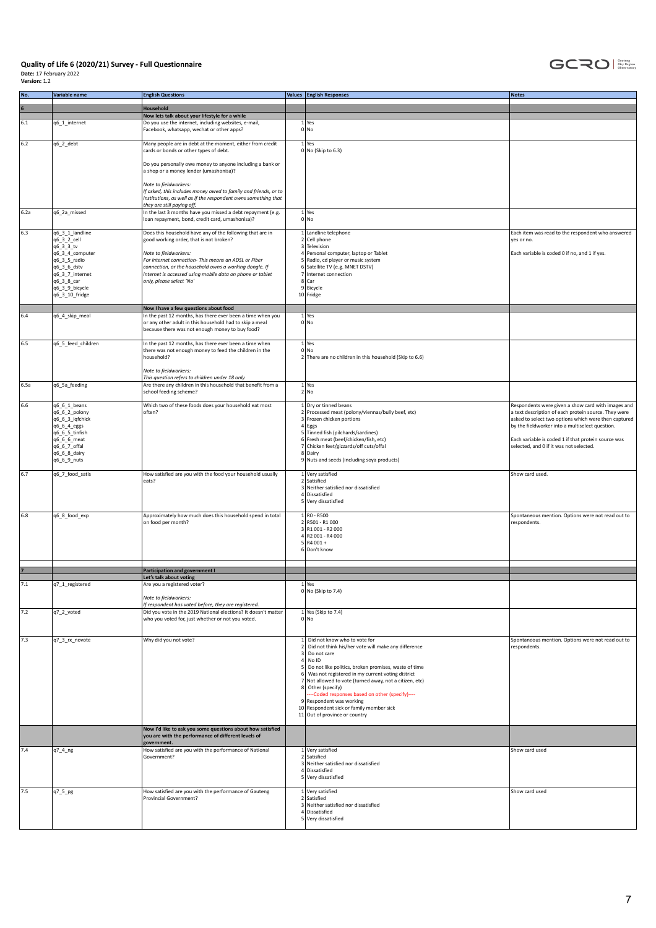

| No.     | Variable name                    | <b>English Questions</b>                                                                                                                                                                 | <b>Values</b> English Responses                                                                              | <b>Notes</b>                                                                                            |
|---------|----------------------------------|------------------------------------------------------------------------------------------------------------------------------------------------------------------------------------------|--------------------------------------------------------------------------------------------------------------|---------------------------------------------------------------------------------------------------------|
|         |                                  | Household                                                                                                                                                                                |                                                                                                              |                                                                                                         |
|         |                                  | Now lets talk about your lifestyle for a while                                                                                                                                           |                                                                                                              |                                                                                                         |
| 6.1     | q6_1_internet                    | Do you use the internet, including websites, e-mail,<br>Facebook, whatsapp, wechat or other apps?                                                                                        | $1$ Yes<br>0 No                                                                                              |                                                                                                         |
| $6.2\,$ | q6_2_debt                        | Many people are in debt at the moment, either from credit<br>cards or bonds or other types of debt.                                                                                      | $1$ Yes<br>$0 $ No (Skip to 6.3)                                                                             |                                                                                                         |
|         |                                  | Do you personally owe money to anyone including a bank or<br>a shop or a money lender (umashonisa)?                                                                                      |                                                                                                              |                                                                                                         |
|         |                                  | Note to fieldworkers:<br>If asked, this includes money owed to family and friends, or to<br>institutions, as well as if the respondent owns something that<br>they are still paying off. |                                                                                                              |                                                                                                         |
| 6.2a    | q6_2a_missed                     | In the last 3 months have you missed a debt repayment (e.g.<br>loan repayment, bond, credit card, umashonisa)?                                                                           | $1$ Yes<br>0 No                                                                                              |                                                                                                         |
| 6.3     | q6_3_1_landline                  | Does this household have any of the following that are in                                                                                                                                | 1 Landline telephone                                                                                         | Each item was read to the respondent who answered                                                       |
|         | q6 3 2 cell<br>q6_3_3_tv         | good working order, that is not broken?                                                                                                                                                  | 2 Cell phone<br>3 Television                                                                                 | yes or no.                                                                                              |
|         | q6_3_4_computer                  | Note to fieldworkers:                                                                                                                                                                    | 4 Personal computer, laptop or Tablet                                                                        | Each variable is coded 0 if no, and 1 if yes.                                                           |
|         | q6_3_5_radio<br>q6_3_6_dstv      | For internet connection- This means an ADSL or Fiber<br>connection, or the household owns a working dongle. If                                                                           | 5 Radio, cd player or music system<br>6 Satellite TV (e.g. MNET DSTV)                                        |                                                                                                         |
|         | q6_3_7_internet                  | internet is accessed using mobile data on phone or tablet                                                                                                                                | 7 Internet connection                                                                                        |                                                                                                         |
|         | q6_3_8_car                       | only, please select 'No'                                                                                                                                                                 | 8 Car<br>9 Bicycle                                                                                           |                                                                                                         |
|         | q6_3_9_bicycle<br>q6_3_10_fridge |                                                                                                                                                                                          | 10 Fridge                                                                                                    |                                                                                                         |
|         |                                  |                                                                                                                                                                                          |                                                                                                              |                                                                                                         |
| 6.4     | q6_4_skip_meal                   | Now I have a few questions about food<br>In the past 12 months, has there ever been a time when you                                                                                      | $1$ Yes                                                                                                      |                                                                                                         |
|         |                                  | or any other adult in this household had to skip a meal<br>because there was not enough money to buy food?                                                                               | 0 No                                                                                                         |                                                                                                         |
| 6.5     | q6_5_feed_children               | In the past 12 months, has there ever been a time when                                                                                                                                   | $1$ Yes                                                                                                      |                                                                                                         |
|         |                                  | there was not enough money to feed the children in the<br>household?                                                                                                                     | $0 $ No<br>2 There are no children in this household (Skip to 6.6)                                           |                                                                                                         |
|         |                                  |                                                                                                                                                                                          |                                                                                                              |                                                                                                         |
|         |                                  | Note to fieldworkers:<br>This question refers to children under 18 only                                                                                                                  |                                                                                                              |                                                                                                         |
| 6.5a    | q6_5a_feeding                    | Are there any children in this household that benefit from a                                                                                                                             | $1$ Yes                                                                                                      |                                                                                                         |
|         |                                  | school feeding scheme?                                                                                                                                                                   | 2 No                                                                                                         |                                                                                                         |
| 6.6     | $q6_6_1_$ beans                  | Which two of these foods does your household eat most                                                                                                                                    | 1 Dry or tinned beans                                                                                        | Respondents were given a show card with images and                                                      |
|         | q6_6_2_polony                    | often?                                                                                                                                                                                   | 2 Processed meat (polony/viennas/bully beef, etc)                                                            | a text description of each protein source. They were                                                    |
|         | q6_6_3_iqfchick<br>q6_6_4_eggs   |                                                                                                                                                                                          | 3 Frozen chicken portions<br>$4$ Eggs                                                                        | asked to select two options which were then captured<br>by the fieldworker into a multiselect question. |
|         | q6_6_5_tinfish                   |                                                                                                                                                                                          | 5 Tinned fish (pilchards/sardines)                                                                           |                                                                                                         |
|         | q6_6_6_meat<br>q6_6_7_offal      |                                                                                                                                                                                          | 6 Fresh meat (beef/chicken/fish, etc)<br>7 Chicken feet/gizzards/off cuts/offal                              | Each variable is coded 1 if that protein source was<br>selected, and 0 if it was not selected.          |
|         | q6_6_8_dairy                     |                                                                                                                                                                                          | 8 Dairy                                                                                                      |                                                                                                         |
|         | q6_6_9_nuts                      |                                                                                                                                                                                          | 9 Nuts and seeds (including soya products)                                                                   |                                                                                                         |
| 6.7     | q6_7_food_satis                  | How satisfied are you with the food your household usually                                                                                                                               | 1 Very satisfied                                                                                             | Show card used.                                                                                         |
|         |                                  | eats?                                                                                                                                                                                    | 2 Satisfied<br>3 Neither satisfied nor dissatisfied                                                          |                                                                                                         |
|         |                                  |                                                                                                                                                                                          | 4 Dissatisfied                                                                                               |                                                                                                         |
|         |                                  |                                                                                                                                                                                          | 5 Very dissatisfied                                                                                          |                                                                                                         |
| 6.8     | q6_8_food_exp                    | Approximately how much does this household spend in total                                                                                                                                | $1$ RO - R500                                                                                                | Spontaneous mention. Options were not read out to                                                       |
|         |                                  | on food per month?                                                                                                                                                                       | 2 R501 - R1 000<br>3 R1 001 - R2 000                                                                         | respondents.                                                                                            |
|         |                                  |                                                                                                                                                                                          | 4 R2 001 - R4 000                                                                                            |                                                                                                         |
|         |                                  |                                                                                                                                                                                          | $5 R4001 +$<br>6 Don't know                                                                                  |                                                                                                         |
|         |                                  |                                                                                                                                                                                          |                                                                                                              |                                                                                                         |
|         |                                  | Participation and government I                                                                                                                                                           |                                                                                                              |                                                                                                         |
|         |                                  | Let's talk about voting                                                                                                                                                                  |                                                                                                              |                                                                                                         |
| 7.1     | q7_1_registered                  | Are you a registered voter?                                                                                                                                                              | $1$ Yes<br>$0 $ No (Skip to 7.4)                                                                             |                                                                                                         |
|         |                                  | Note to fieldworkers:                                                                                                                                                                    |                                                                                                              |                                                                                                         |
| 7.2     | q7_2_voted                       | If respondent has voted before, they are registered.<br>Did you vote in the 2019 National elections? It doesn't matter                                                                   | $1$ Yes (Skip to 7.4)                                                                                        |                                                                                                         |
|         |                                  | who you voted for, just whether or not you voted.                                                                                                                                        | 0 No                                                                                                         |                                                                                                         |
|         |                                  |                                                                                                                                                                                          |                                                                                                              |                                                                                                         |
| 7.3     | q7_3_rx_novote                   | Why did you not vote?                                                                                                                                                                    | 1 Did not know who to vote for                                                                               | Spontaneous mention. Options were not read out to                                                       |
|         |                                  |                                                                                                                                                                                          | 2 Did not think his/her vote will make any difference<br>3 Do not care                                       | respondents.                                                                                            |
|         |                                  |                                                                                                                                                                                          | $4$ No ID                                                                                                    |                                                                                                         |
|         |                                  |                                                                                                                                                                                          | 5 Do not like politics, broken promises, waste of time<br>6 Was not registered in my current voting district |                                                                                                         |
|         |                                  |                                                                                                                                                                                          | 7 Not allowed to vote (turned away, not a citizen, etc)                                                      |                                                                                                         |
|         |                                  |                                                                                                                                                                                          | 8 Other (specify)<br>--Coded responses based on other (specify)----                                          |                                                                                                         |
|         |                                  |                                                                                                                                                                                          | 9 Respondent was working                                                                                     |                                                                                                         |
|         |                                  |                                                                                                                                                                                          | 10 Respondent sick or family member sick<br>11 Out of province or country                                    |                                                                                                         |
|         |                                  |                                                                                                                                                                                          |                                                                                                              |                                                                                                         |
|         |                                  | Now I'd like to ask you some questions about how satisfied<br>you are with the performance of different levels of<br>government.                                                         |                                                                                                              |                                                                                                         |
| 7.4     | q7_4_ng                          | How satisfied are you with the performance of National<br>Government?                                                                                                                    | 1 Very satisfied<br>2 Satisfied                                                                              | Show card used                                                                                          |
|         |                                  |                                                                                                                                                                                          | 3 Neither satisfied nor dissatisfied                                                                         |                                                                                                         |
|         |                                  |                                                                                                                                                                                          | 4 Dissatisfied<br>5 Very dissatisfied                                                                        |                                                                                                         |
|         |                                  |                                                                                                                                                                                          |                                                                                                              |                                                                                                         |
| 7.5     | q7_5_pg                          | How satisfied are you with the performance of Gauteng<br>Provincial Government?                                                                                                          | 1 Very satisfied<br>2 Satisfied                                                                              | Show card used                                                                                          |
|         |                                  |                                                                                                                                                                                          | 3 Neither satisfied nor dissatisfied                                                                         |                                                                                                         |
|         |                                  |                                                                                                                                                                                          | 4 Dissatisfied                                                                                               |                                                                                                         |
|         |                                  |                                                                                                                                                                                          | 5 Very dissatisfied                                                                                          |                                                                                                         |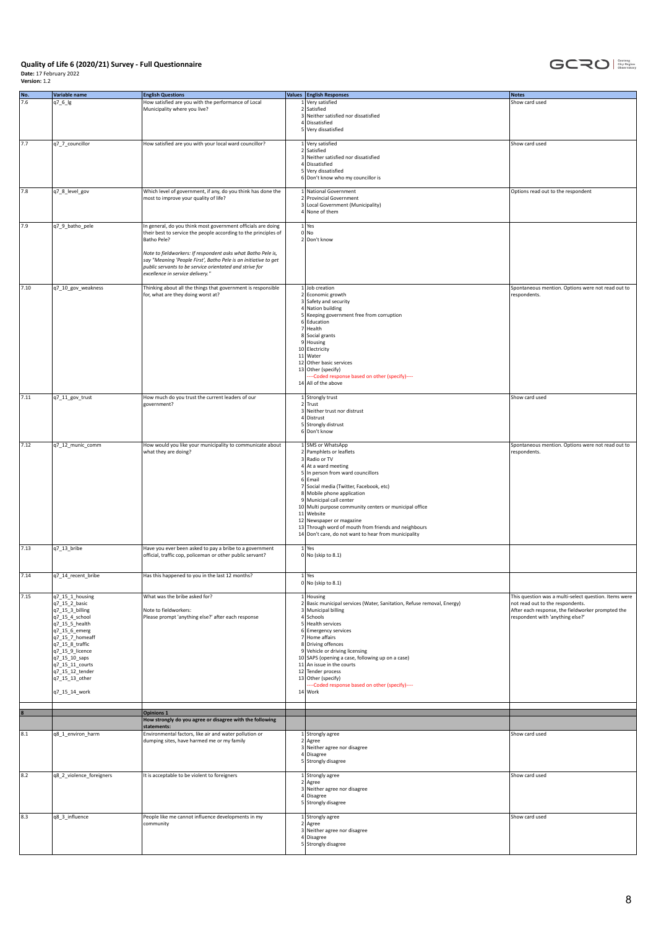

| No.  | Variable name            | <b>English Questions</b>                                        | Values English Responses                                               | Notes                                                 |
|------|--------------------------|-----------------------------------------------------------------|------------------------------------------------------------------------|-------------------------------------------------------|
| 7.6  |                          |                                                                 |                                                                        |                                                       |
|      | q7_6_lg                  | How satisfied are you with the performance of Local             | 1 Very satisfied                                                       | Show card used                                        |
|      |                          | Municipality where you live?                                    | 2 Satisfied                                                            |                                                       |
|      |                          |                                                                 | 3 Neither satisfied nor dissatisfied                                   |                                                       |
|      |                          |                                                                 | 4 Dissatisfied                                                         |                                                       |
|      |                          |                                                                 | 5 Very dissatisfied                                                    |                                                       |
|      |                          |                                                                 |                                                                        |                                                       |
| 7.7  | q7_7_councillor          | How satisfied are you with your local ward councillor?          | 1 Very satisfied                                                       | Show card used                                        |
|      |                          |                                                                 | 2 Satisfied                                                            |                                                       |
|      |                          |                                                                 | 3 Neither satisfied nor dissatisfied                                   |                                                       |
|      |                          |                                                                 | 4 Dissatisfied                                                         |                                                       |
|      |                          |                                                                 | 5 Very dissatisfied                                                    |                                                       |
|      |                          |                                                                 | 6 Don't know who my councillor is                                      |                                                       |
|      |                          |                                                                 |                                                                        |                                                       |
| 7.8  | q7_8_level_gov           | Which level of government, if any, do you think has done the    | 1 National Government                                                  | Options read out to the respondent                    |
|      |                          | most to improve your quality of life?                           | 2 Provincial Government                                                |                                                       |
|      |                          |                                                                 | 3 Local Government (Municipality)                                      |                                                       |
|      |                          |                                                                 | 4 None of them                                                         |                                                       |
|      |                          |                                                                 |                                                                        |                                                       |
|      | q7_9_batho_pele          | In general, do you think most government officials are doing    |                                                                        |                                                       |
| 7.9  |                          |                                                                 | $1$ Yes<br>0 No                                                        |                                                       |
|      |                          | their best to service the people according to the principles of |                                                                        |                                                       |
|      |                          | Batho Pele?                                                     | 2 Don't know                                                           |                                                       |
|      |                          |                                                                 |                                                                        |                                                       |
|      |                          | Note to fieldworkers: If respondent asks what Batho Pele is,    |                                                                        |                                                       |
|      |                          | say "Meaning 'People First', Batho Pele is an initiative to get |                                                                        |                                                       |
|      |                          | public servants to be service orientated and strive for         |                                                                        |                                                       |
|      |                          | excellence in service delivery."                                |                                                                        |                                                       |
|      |                          |                                                                 |                                                                        |                                                       |
| 7.10 | q7_10_gov_weakness       | Thinking about all the things that government is responsible    | 1 Job creation                                                         | Spontaneous mention. Options were not read out to     |
|      |                          | for, what are they doing worst at?                              | 2 Economic growth                                                      | respondents.                                          |
|      |                          |                                                                 | 3 Safety and security                                                  |                                                       |
|      |                          |                                                                 | 4 Nation building                                                      |                                                       |
|      |                          |                                                                 | 5 Keeping government free from corruption                              |                                                       |
|      |                          |                                                                 | 6 Education                                                            |                                                       |
|      |                          |                                                                 | 7 Health                                                               |                                                       |
|      |                          |                                                                 | 8 Social grants                                                        |                                                       |
|      |                          |                                                                 | 9 Housing                                                              |                                                       |
|      |                          |                                                                 | 10 Electricity                                                         |                                                       |
|      |                          |                                                                 | 11 Water                                                               |                                                       |
|      |                          |                                                                 | 12 Other basic services                                                |                                                       |
|      |                          |                                                                 | 13 Other (specify)                                                     |                                                       |
|      |                          |                                                                 |                                                                        |                                                       |
|      |                          |                                                                 | --- Coded response based on other (specify)----                        |                                                       |
|      |                          |                                                                 | 14 All of the above                                                    |                                                       |
|      |                          |                                                                 |                                                                        |                                                       |
| 7.11 | q7_11_gov_trust          | How much do you trust the current leaders of our                | 1 Strongly trust                                                       | Show card used                                        |
|      |                          | government?                                                     | $2$ Trust                                                              |                                                       |
|      |                          |                                                                 | 3 Neither trust nor distrust                                           |                                                       |
|      |                          |                                                                 | 4 Distrust                                                             |                                                       |
|      |                          |                                                                 | 5 Strongly distrust                                                    |                                                       |
|      |                          |                                                                 | 6 Don't know                                                           |                                                       |
|      |                          |                                                                 |                                                                        |                                                       |
| 7.12 | q7_12_munic_comm         | How would you like your municipality to communicate about       | 1 SMS or WhatsApp                                                      | Spontaneous mention. Options were not read out to     |
|      |                          | what they are doing?                                            | 2 Pamphlets or leaflets                                                | respondents.                                          |
|      |                          |                                                                 | 3 Radio or TV                                                          |                                                       |
|      |                          |                                                                 | 4 At a ward meeting                                                    |                                                       |
|      |                          |                                                                 | 5 In person from ward councillors                                      |                                                       |
|      |                          |                                                                 | $6$ Email                                                              |                                                       |
|      |                          |                                                                 | 7 Social media (Twitter, Facebook, etc)                                |                                                       |
|      |                          |                                                                 | 8 Mobile phone application                                             |                                                       |
|      |                          |                                                                 | 9 Municipal call center                                                |                                                       |
|      |                          |                                                                 | 10 Multi purpose community centers or municipal office                 |                                                       |
|      |                          |                                                                 | 11 Website                                                             |                                                       |
|      |                          |                                                                 | 12 Newspaper or magazine                                               |                                                       |
|      |                          |                                                                 | 13 Through word of mouth from friends and neighbours                   |                                                       |
|      |                          |                                                                 | 14 Don't care, do not want to hear from municipality                   |                                                       |
|      |                          |                                                                 |                                                                        |                                                       |
| 7.13 | q7_13_bribe              | Have you ever been asked to pay a bribe to a government         | $1$ Yes                                                                |                                                       |
|      |                          | official, traffic cop, policeman or other public servant?       | $0 $ No (skip to 8.1)                                                  |                                                       |
|      |                          |                                                                 |                                                                        |                                                       |
|      |                          |                                                                 |                                                                        |                                                       |
| 7.14 | q7_14_recent_bribe       | Has this happened to you in the last 12 months?                 | $1$ Yes                                                                |                                                       |
|      |                          |                                                                 | $0 $ No (skip to 8.1)                                                  |                                                       |
|      |                          |                                                                 |                                                                        |                                                       |
| 7.15 | q7_15_1_housing          | What was the bribe asked for?                                   | 1 Housing                                                              | This question was a multi-select question. Items were |
|      | q7_15_2_basic            |                                                                 | 2 Basic municipal services (Water, Sanitation, Refuse removal, Energy) | not read out to the respondents.                      |
|      | q7_15_3_billing          | Note to fieldworkers:                                           | 3 Municipal billing                                                    | After each response, the fieldworker prompted the     |
|      | q7_15_4_school           | Please prompt 'anything else?' after each response              | 4 Schools                                                              | respondent with 'anything else?'                      |
|      | q7_15_5_health           |                                                                 | 5 Health services                                                      |                                                       |
|      | q7_15_6_emerg            |                                                                 | 6 Emergency services                                                   |                                                       |
|      | q7_15_7_homeaff          |                                                                 | 7 Home affairs                                                         |                                                       |
|      | q7_15_8_traffic          |                                                                 | 8 Driving offences                                                     |                                                       |
|      | q7_15_9_licence          |                                                                 | 9 Vehicle or driving licensing                                         |                                                       |
|      | q7_15_10_saps            |                                                                 | 10 SAPS (opening a case, following up on a case)                       |                                                       |
|      |                          |                                                                 |                                                                        |                                                       |
|      | q7_15_11_courts          |                                                                 | 11 An issue in the courts                                              |                                                       |
|      | q7_15_12_tender          |                                                                 | 12 Tender process                                                      |                                                       |
|      | q7_15_13_other           |                                                                 | 13 Other (specify)                                                     |                                                       |
|      |                          |                                                                 | --- Coded response based on other (specify)----                        |                                                       |
|      | q7_15_14_work            |                                                                 | 14 Work                                                                |                                                       |
|      |                          |                                                                 |                                                                        |                                                       |
|      |                          | <b>Opinions 1</b>                                               |                                                                        |                                                       |
|      |                          | How strongly do you agree or disagree with the following        |                                                                        |                                                       |
|      |                          | statements:                                                     |                                                                        |                                                       |
| 8.1  | q8_1_environ_harm        | Environmental factors, like air and water pollution or          | 1 Strongly agree                                                       | Show card used                                        |
|      |                          | dumping sites, have harmed me or my family                      | 2 Agree                                                                |                                                       |
|      |                          |                                                                 | 3 Neither agree nor disagree                                           |                                                       |
|      |                          |                                                                 | 4 Disagree                                                             |                                                       |
|      |                          |                                                                 | 5 Strongly disagree                                                    |                                                       |
|      |                          |                                                                 |                                                                        |                                                       |
| 8.2  | q8_2_violence_foreigners | It is acceptable to be violent to foreigners                    | 1 Strongly agree                                                       | Show card used                                        |
|      |                          |                                                                 | 2 Agree                                                                |                                                       |
|      |                          |                                                                 | 3 Neither agree nor disagree                                           |                                                       |
|      |                          |                                                                 | 4 Disagree                                                             |                                                       |
|      |                          |                                                                 | 5 Strongly disagree                                                    |                                                       |
|      |                          |                                                                 |                                                                        |                                                       |
|      |                          |                                                                 |                                                                        |                                                       |
| 8.3  | q8_3_influence           | People like me cannot influence developments in my              | 1 Strongly agree                                                       | Show card used                                        |
|      |                          | community                                                       | $2$ Agree                                                              |                                                       |
|      |                          |                                                                 | 3 Neither agree nor disagree                                           |                                                       |
|      |                          |                                                                 | 4 Disagree                                                             |                                                       |
|      |                          |                                                                 | 5 Strongly disagree                                                    |                                                       |
|      |                          |                                                                 |                                                                        |                                                       |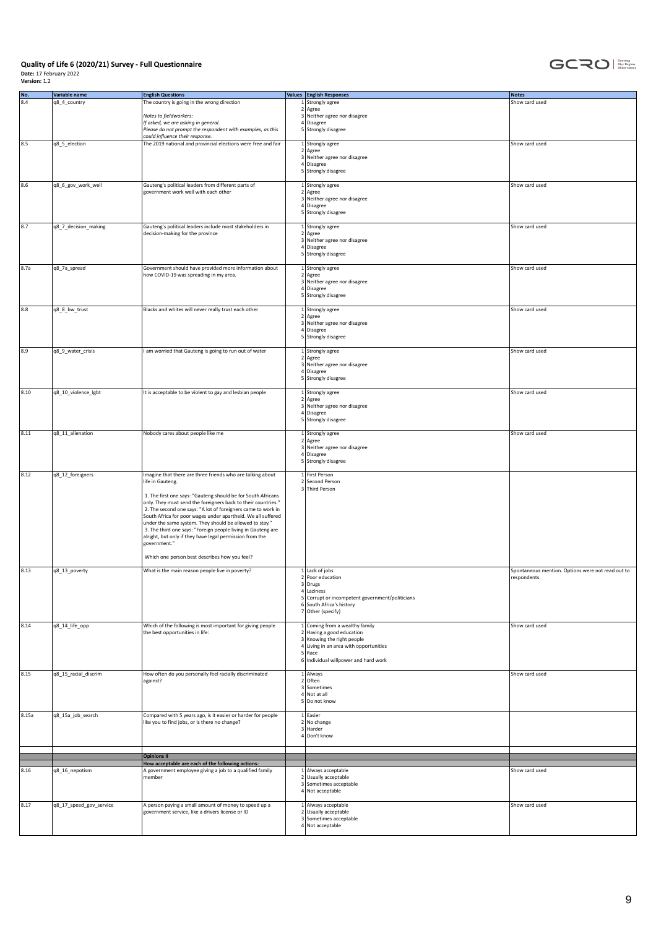

| No.   | Variable name           | <b>English Questions</b>                                                                                                      | Values <b>English Responses</b>                 | Notes                                             |
|-------|-------------------------|-------------------------------------------------------------------------------------------------------------------------------|-------------------------------------------------|---------------------------------------------------|
| 8.4   | q8_4_country            | The country is going in the wrong direction                                                                                   | 1 Strongly agree                                | Show card used                                    |
|       |                         |                                                                                                                               | 2 Agree                                         |                                                   |
|       |                         | Notes to fieldworkers:                                                                                                        | 3 Neither agree nor disagree                    |                                                   |
|       |                         | If asked, we are asking in general.                                                                                           | 4 Disagree                                      |                                                   |
|       |                         | Please do not prompt the respondent with examples, as this                                                                    | 5 Strongly disagree                             |                                                   |
|       |                         | could influence their response.                                                                                               |                                                 |                                                   |
| 8.5   | q8_5_election           | The 2019 national and provincial elections were free and fair                                                                 | 1 Strongly agree<br>2 Agree                     | Show card used                                    |
|       |                         |                                                                                                                               | 3 Neither agree nor disagree                    |                                                   |
|       |                         |                                                                                                                               | 4 Disagree                                      |                                                   |
|       |                         |                                                                                                                               | 5 Strongly disagree                             |                                                   |
|       |                         |                                                                                                                               |                                                 |                                                   |
| 8.6   | q8_6_gov_work_well      | Gauteng's political leaders from different parts of<br>government work well with each other                                   | 1 Strongly agree<br>2 Agree                     | Show card used                                    |
|       |                         |                                                                                                                               | 3 Neither agree nor disagree                    |                                                   |
|       |                         |                                                                                                                               | 4 Disagree                                      |                                                   |
|       |                         |                                                                                                                               | 5 Strongly disagree                             |                                                   |
|       |                         |                                                                                                                               |                                                 |                                                   |
| 8.7   | q8_7_decision_making    | Gauteng's political leaders include most stakeholders in<br>decision-making for the province                                  | 1 Strongly agree<br>2 Agree                     | Show card used                                    |
|       |                         |                                                                                                                               | 3 Neither agree nor disagree                    |                                                   |
|       |                         |                                                                                                                               | 4 Disagree                                      |                                                   |
|       |                         |                                                                                                                               | 5 Strongly disagree                             |                                                   |
|       |                         |                                                                                                                               |                                                 | Show card used                                    |
| 8.7a  | q8_7a_spread            | Government should have provided more information about<br>how COVID-19 was spreading in my area.                              | 1 Strongly agree<br>2 Agree                     |                                                   |
|       |                         |                                                                                                                               | 3 Neither agree nor disagree                    |                                                   |
|       |                         |                                                                                                                               | 4 Disagree                                      |                                                   |
|       |                         |                                                                                                                               | 5 Strongly disagree                             |                                                   |
|       |                         |                                                                                                                               |                                                 |                                                   |
| 8.8   | q8_8_bw_trust           | Blacks and whites will never really trust each other                                                                          | 1 Strongly agree<br>2 Agree                     | Show card used                                    |
|       |                         |                                                                                                                               | 3 Neither agree nor disagree                    |                                                   |
|       |                         |                                                                                                                               | 4 Disagree                                      |                                                   |
|       |                         |                                                                                                                               | 5 Strongly disagree                             |                                                   |
|       |                         |                                                                                                                               |                                                 |                                                   |
| 8.9   | q8_9_water_crisis       | I am worried that Gauteng is going to run out of water                                                                        | 1 Strongly agree                                | Show card used                                    |
|       |                         |                                                                                                                               | 2 Agree<br>3 Neither agree nor disagree         |                                                   |
|       |                         |                                                                                                                               | 4 Disagree                                      |                                                   |
|       |                         |                                                                                                                               | 5 Strongly disagree                             |                                                   |
|       |                         |                                                                                                                               |                                                 |                                                   |
| 8.10  | q8_10_violence_lgbt     | It is acceptable to be violent to gay and lesbian people                                                                      | 1 Strongly agree<br>2 Agree                     | Show card used                                    |
|       |                         |                                                                                                                               | 3 Neither agree nor disagree                    |                                                   |
|       |                         |                                                                                                                               | 4 Disagree                                      |                                                   |
|       |                         |                                                                                                                               | 5 Strongly disagree                             |                                                   |
|       |                         |                                                                                                                               |                                                 |                                                   |
| 8.11  | q8_11_alienation        | Nobody cares about people like me                                                                                             | 1 Strongly agree<br>2 Agree                     | Show card used                                    |
|       |                         |                                                                                                                               | 3 Neither agree nor disagree                    |                                                   |
|       |                         |                                                                                                                               | 4 Disagree                                      |                                                   |
|       |                         |                                                                                                                               | 5 Strongly disagree                             |                                                   |
| 8.12  | q8_12_foreigners        | Imagine that there are three friends who are talking about                                                                    | 1 First Person                                  |                                                   |
|       |                         | life in Gauteng.                                                                                                              | 2 Second Person                                 |                                                   |
|       |                         |                                                                                                                               | 3 Third Person                                  |                                                   |
|       |                         | 1. The first one says: "Gauteng should be for South Africans                                                                  |                                                 |                                                   |
|       |                         | only. They must send the foreigners back to their countries."<br>2. The second one says: "A lot of foreigners came to work in |                                                 |                                                   |
|       |                         | South Africa for poor wages under apartheid. We all suffered                                                                  |                                                 |                                                   |
|       |                         | under the same system. They should be allowed to stay."                                                                       |                                                 |                                                   |
|       |                         | 3. The third one says: "Foreign people living in Gauteng are                                                                  |                                                 |                                                   |
|       |                         | alright, but only if they have legal permission from the                                                                      |                                                 |                                                   |
|       |                         | government."                                                                                                                  |                                                 |                                                   |
|       |                         | Which one person best describes how you feel?                                                                                 |                                                 |                                                   |
|       |                         |                                                                                                                               |                                                 |                                                   |
| 8.13  | q8_13_poverty           | What is the main reason people live in poverty?                                                                               | $1$ Lack of jobs                                | Spontaneous mention. Options were not read out to |
|       |                         |                                                                                                                               | 2 Poor education<br>3 Drugs                     | respondents.                                      |
|       |                         |                                                                                                                               | 4 Laziness                                      |                                                   |
|       |                         |                                                                                                                               | 5 Corrupt or incompetent government/politicians |                                                   |
|       |                         |                                                                                                                               | 6 South Africa's history                        |                                                   |
|       |                         |                                                                                                                               | 7 Other (specify)                               |                                                   |
| 8.14  | q8_14_life_opp          | Which of the following is most important for giving people                                                                    | $1$ Coming from a wealthy family                | Show card used                                    |
|       |                         | the best opportunities in life:                                                                                               | $2$ Having a good education                     |                                                   |
|       |                         |                                                                                                                               | 3 Knowing the right people                      |                                                   |
|       |                         |                                                                                                                               | 4 Living in an area with opportunities          |                                                   |
|       |                         |                                                                                                                               | 5 Race<br>6 Individual willpower and hard work  |                                                   |
|       |                         |                                                                                                                               |                                                 |                                                   |
| 8.15  | q8_15_racial_discrim    | How often do you personally feel racially discriminated                                                                       | 1 Always                                        | Show card used                                    |
|       |                         | against?                                                                                                                      | $2$ Often                                       |                                                   |
|       |                         |                                                                                                                               | 3 Sometimes<br>$4$ Not at all                   |                                                   |
|       |                         |                                                                                                                               | 5 Do not know                                   |                                                   |
|       |                         |                                                                                                                               |                                                 |                                                   |
| 8.15a | q8_15a_job_search       | Compared with 5 years ago, is it easier or harder for people                                                                  | 1 Easier                                        |                                                   |
|       |                         | like you to find jobs, or is there no change?                                                                                 | 2 No change<br>3 Harder                         |                                                   |
|       |                         |                                                                                                                               | 4 Don't know                                    |                                                   |
|       |                         |                                                                                                                               |                                                 |                                                   |
|       |                         | <b>Opinions II</b>                                                                                                            |                                                 |                                                   |
|       |                         | How acceptable are each of the following actions:                                                                             |                                                 |                                                   |
| 8.16  | q8_16_nepotism          | A government employee giving a job to a qualified family                                                                      | 1 Always acceptable                             | Show card used                                    |
|       |                         | member                                                                                                                        | 2 Usually acceptable                            |                                                   |
|       |                         |                                                                                                                               | 3 Sometimes acceptable<br>4 Not acceptable      |                                                   |
|       |                         |                                                                                                                               |                                                 |                                                   |
| 8.17  | q8_17_speed_gov_service | A person paying a small amount of money to speed up a                                                                         | 1 Always acceptable                             | Show card used                                    |
|       |                         | government service, like a drivers license or ID                                                                              | 2 Usually acceptable                            |                                                   |
|       |                         |                                                                                                                               | 3 Sometimes acceptable<br>4 Not acceptable      |                                                   |
|       |                         |                                                                                                                               |                                                 |                                                   |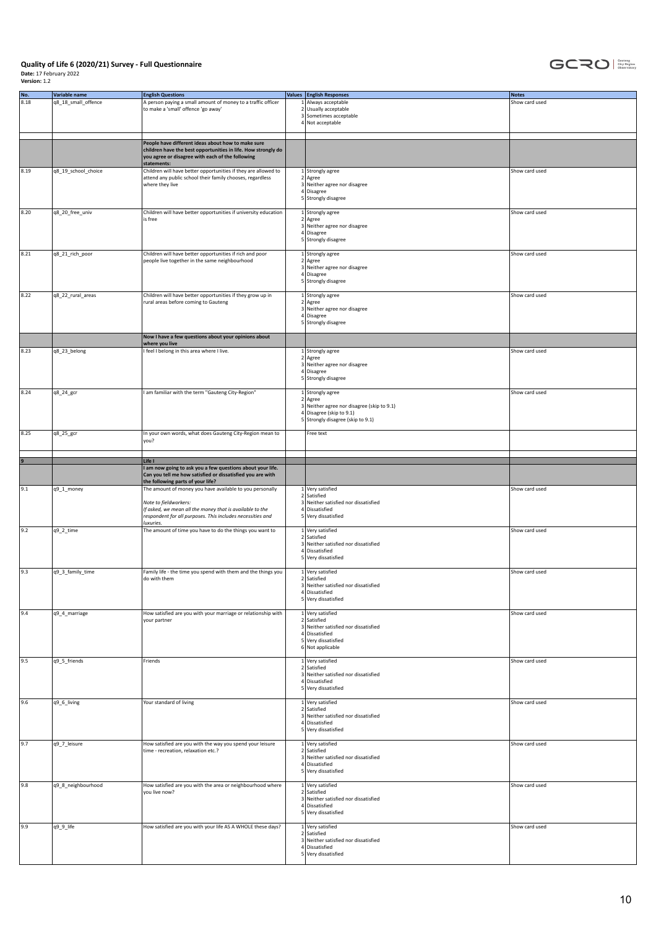

| No.<br>8.18 | Variable name<br>q8_18_small_offence | <b>English Questions</b><br>A person paying a small amount of money to a traffic officer<br>to make a 'small' offence 'go away'                                                                                          | <b>Values</b> English Responses<br>1 Always acceptable<br>2 Usually acceptable<br>3 Sometimes acceptable<br>4 Not acceptable                   | <b>Notes</b><br>Show card used |
|-------------|--------------------------------------|--------------------------------------------------------------------------------------------------------------------------------------------------------------------------------------------------------------------------|------------------------------------------------------------------------------------------------------------------------------------------------|--------------------------------|
|             |                                      | People have different ideas about how to make sure<br>children have the best opportunities in life. How strongly do<br>you agree or disagree with each of the following<br>statements:                                   |                                                                                                                                                |                                |
| 8.19        | q8_19_school_choice                  | Children will have better opportunities if they are allowed to<br>attend any public school their family chooses, regardless<br>where they live                                                                           | 1 Strongly agree<br>2 Agree<br>3 Neither agree nor disagree<br>4 Disagree<br>5 Strongly disagree                                               | Show card used                 |
| 8.20        | q8_20_free_univ                      | Children will have better opportunities if university education<br>is free                                                                                                                                               | 1 Strongly agree<br>2 Agree<br>3 Neither agree nor disagree<br>4 Disagree<br>5 Strongly disagree                                               | Show card used                 |
| 8.21        | q8_21_rich_poor                      | Children will have better opportunities if rich and poor<br>people live together in the same neighbourhood                                                                                                               | 1 Strongly agree<br>2 Agree<br>3 Neither agree nor disagree<br>4 Disagree<br>5 Strongly disagree                                               | Show card used                 |
| 8.22        | q8_22_rural_areas                    | Children will have better opportunities if they grow up in<br>rural areas before coming to Gauteng                                                                                                                       | 1 Strongly agree<br>$2$ Agree<br>3 Neither agree nor disagree<br>4 Disagree<br>5 Strongly disagree                                             | Show card used                 |
|             |                                      | Now I have a few questions about your opinions about                                                                                                                                                                     |                                                                                                                                                |                                |
| 8.23        | q8_23_belong                         | where you live<br>I feel I belong in this area where I live.                                                                                                                                                             | 1 Strongly agree<br>$2$ Agree<br>3 Neither agree nor disagree<br>4 Disagree<br>5 Strongly disagree                                             | Show card used                 |
| 8.24        | q8_24_gcr                            | I am familiar with the term "Gauteng City-Region"                                                                                                                                                                        | $1$ Strongly agree<br>2   Agree<br>3 Neither agree nor disagree (skip to 9.1)<br>4 Disagree (skip to 9.1)<br>5 Strongly disagree (skip to 9.1) | Show card used                 |
| 8.25        | q8_25_gcr                            | In your own words, what does Gauteng City-Region mean to<br>you?                                                                                                                                                         | Free text                                                                                                                                      |                                |
|             |                                      | Life I                                                                                                                                                                                                                   |                                                                                                                                                |                                |
|             |                                      | I am now going to ask you a few questions about your life.<br>Can you tell me how satisfied or dissatisfied you are with<br>the following parts of your life?                                                            |                                                                                                                                                |                                |
| 9.1         | q9_1_money                           | The amount of money you have available to you personally<br>Note to fieldworkers:<br>If asked, we mean all the money that is available to the<br>respondent for all purposes. This includes necessities and<br>luxuries. | 1 Very satisfied<br>2 Satisfied<br>3 Neither satisfied nor dissatisfied<br>4 Dissatisfied<br>5 Very dissatisfied                               | Show card used                 |
| 9.2         | q9_2_time                            | The amount of time you have to do the things you want to                                                                                                                                                                 | 1 Very satisfied<br>2 Satisfied<br>3 Neither satisfied nor dissatisfied<br>4 Dissatisfied<br>5 Very dissatisfied                               | Show card used                 |
| 9.3         | q9_3_family_time                     | Family life - the time you spend with them and the things you<br>do with them                                                                                                                                            | 1 Very satisfied<br>2 Satisfied<br>3 Neither satisfied nor dissatisfied<br>4 Dissatisfied<br>5 Very dissatisfied                               | Show card used                 |
| 9.4         | q9_4_marriage                        | How satisfied are you with your marriage or relationship with<br>your partner                                                                                                                                            | 1 Very satisfied<br>2 Satisfied<br>3 Neither satisfied nor dissatisfied<br>4 Dissatisfied<br>5 Very dissatisfied<br>6 Not applicable           | Show card used                 |
| 9.5         | q9_5_friends                         | Friends                                                                                                                                                                                                                  | 1 Very satisfied<br>2 Satisfied<br>3 Neither satisfied nor dissatisfied<br>4 Dissatisfied<br>5 Very dissatisfied                               | Show card used                 |
| 9.6         | q9_6_living                          | Your standard of living                                                                                                                                                                                                  | 1 Very satisfied<br>2 Satisfied<br>3 Neither satisfied nor dissatisfied<br>4 Dissatisfied<br>5 Very dissatisfied                               | Show card used                 |
| 9.7         | q9_7_leisure                         | How satisfied are you with the way you spend your leisure<br>time - recreation, relaxation etc.?                                                                                                                         | 1 Very satisfied<br>2 Satisfied<br>3 Neither satisfied nor dissatisfied<br>4 Dissatisfied<br>5 Very dissatisfied                               | Show card used                 |
| 9.8         | q9_8_neighbourhood                   | How satisfied are you with the area or neighbourhood where<br>you live now?                                                                                                                                              | 1 Very satisfied<br>2 Satisfied<br>3 Neither satisfied nor dissatisfied<br>4 Dissatisfied<br>5 Very dissatisfied                               | Show card used                 |
| 9.9         | q9_9_life                            | How satisfied are you with your life AS A WHOLE these days?                                                                                                                                                              | 1 Very satisfied<br>2 Satisfied<br>3 Neither satisfied nor dissatisfied<br>4 Dissatisfied<br>5 Very dissatisfied                               | Show card used                 |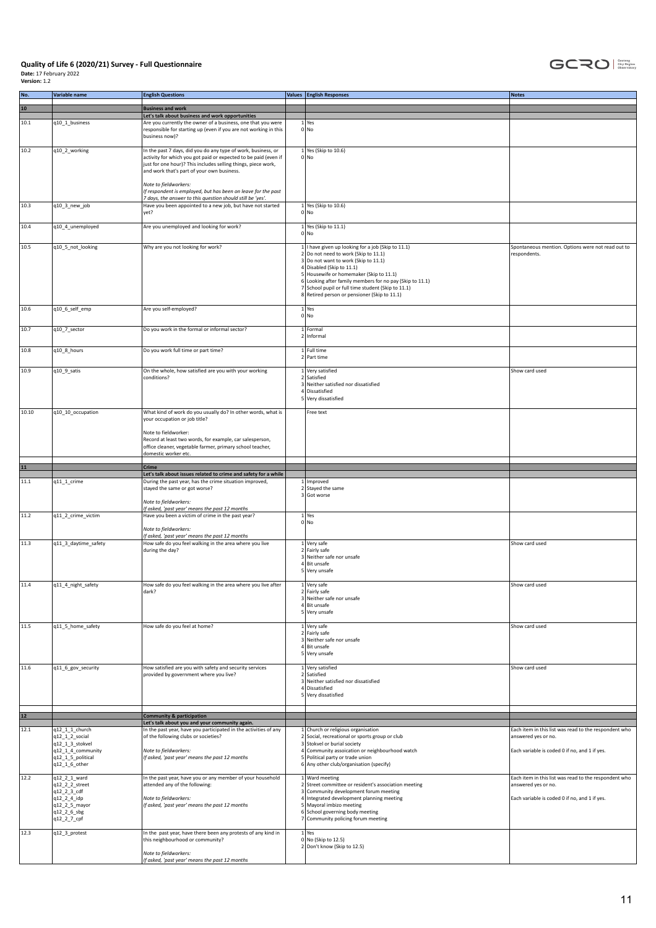

| No.   | Variable name                                                             | <b>English Questions</b>                                                                                                                                                                                                                        | Values English Responses                                                                                                                                                                                                                                                                                                                                                       | <b>Notes</b>                                                                 |
|-------|---------------------------------------------------------------------------|-------------------------------------------------------------------------------------------------------------------------------------------------------------------------------------------------------------------------------------------------|--------------------------------------------------------------------------------------------------------------------------------------------------------------------------------------------------------------------------------------------------------------------------------------------------------------------------------------------------------------------------------|------------------------------------------------------------------------------|
| 10    |                                                                           | <b>Business and work</b>                                                                                                                                                                                                                        |                                                                                                                                                                                                                                                                                                                                                                                |                                                                              |
|       |                                                                           | Let's talk about business and work opportunities                                                                                                                                                                                                |                                                                                                                                                                                                                                                                                                                                                                                |                                                                              |
| 10.1  | q10_1_business                                                            | Are you currently the owner of a business, one that you were<br>responsible for starting up (even if you are not working in this<br>business now)?                                                                                              | $1$ Yes<br>$0 $ No                                                                                                                                                                                                                                                                                                                                                             |                                                                              |
| 10.2  | q10_2_working                                                             | In the past 7 days, did you do any type of work, business, or<br>activity for which you got paid or expected to be paid (even if<br>just for one hour)? This includes selling things, piece work,<br>and work that's part of your own business. | 1 Yes (Skip to 10.6)<br>$0 $ No                                                                                                                                                                                                                                                                                                                                                |                                                                              |
|       |                                                                           | Note to fieldworkers:<br>If respondent is employed, but has been on leave for the past                                                                                                                                                          |                                                                                                                                                                                                                                                                                                                                                                                |                                                                              |
| 10.3  | q10_3_new_job                                                             | 7 days, the answer to this question should still be 'yes'.<br>Have you been appointed to a new job, but have not started<br>yet?                                                                                                                | $1$ Yes (Skip to 10.6)<br>0 No                                                                                                                                                                                                                                                                                                                                                 |                                                                              |
| 10.4  | q10_4_unemployed                                                          | Are you unemployed and looking for work?                                                                                                                                                                                                        | 1 Yes (Skip to 11.1)<br>$0 $ No                                                                                                                                                                                                                                                                                                                                                |                                                                              |
| 10.5  | q10_5_not_looking                                                         | Why are you not looking for work?                                                                                                                                                                                                               | 1   I have given up looking for a job (Skip to 11.1)<br>2 Do not need to work (Skip to 11.1)<br>3 Do not want to work (Skip to 11.1)<br>4 Disabled (Skip to 11.1)<br>5 Housewife or homemaker (Skip to 11.1)<br>6 Looking after family members for no pay (Skip to 11.1)<br>7 School pupil or full time student (Skip to 11.1)<br>8 Retired person or pensioner (Skip to 11.1) | Spontaneous mention. Options were not read out to<br>respondents.            |
| 10.6  | q10_6_self_emp                                                            | Are you self-employed?                                                                                                                                                                                                                          | $1$ Yes<br>$0 $ No                                                                                                                                                                                                                                                                                                                                                             |                                                                              |
| 10.7  | q10_7_sector                                                              | Do you work in the formal or informal sector?                                                                                                                                                                                                   | 1 Formal<br>2 Informal                                                                                                                                                                                                                                                                                                                                                         |                                                                              |
| 10.8  | q10_8_hours                                                               | Do you work full time or part time?                                                                                                                                                                                                             | 1 Full time<br>2 Part time                                                                                                                                                                                                                                                                                                                                                     |                                                                              |
| 10.9  | q10_9_satis                                                               | On the whole, how satisfied are you with your working<br>conditions?                                                                                                                                                                            | 1 Very satisfied<br>2 Satisfied                                                                                                                                                                                                                                                                                                                                                | Show card used                                                               |
|       |                                                                           |                                                                                                                                                                                                                                                 | 3 Neither satisfied nor dissatisfied<br>4 Dissatisfied<br>5 Very dissatisfied                                                                                                                                                                                                                                                                                                  |                                                                              |
| 10.10 | q10_10_occupation                                                         | What kind of work do you usually do? In other words, what is<br>your occupation or job title?                                                                                                                                                   | Free text                                                                                                                                                                                                                                                                                                                                                                      |                                                                              |
|       |                                                                           | Note to fieldworker:<br>Record at least two words, for example, car salesperson,<br>office cleaner, vegetable farmer, primary school teacher,<br>domestic worker etc.                                                                           |                                                                                                                                                                                                                                                                                                                                                                                |                                                                              |
| $11$  |                                                                           | Crime                                                                                                                                                                                                                                           |                                                                                                                                                                                                                                                                                                                                                                                |                                                                              |
|       |                                                                           | Let's talk about issues related to crime and safety for a while                                                                                                                                                                                 |                                                                                                                                                                                                                                                                                                                                                                                |                                                                              |
| 11.1  | q11_1_crime                                                               | During the past year, has the crime situation improved,<br>stayed the same or got worse?<br>Note to fieldworkers:                                                                                                                               | 1 Improved<br>2 Stayed the same<br>3 Got worse                                                                                                                                                                                                                                                                                                                                 |                                                                              |
| 11.2  | q11_2_crime_victim                                                        | If asked, 'past year' means the past 12 months<br>Have you been a victim of crime in the past year?                                                                                                                                             | $1$ Yes                                                                                                                                                                                                                                                                                                                                                                        |                                                                              |
|       |                                                                           | Note to fieldworkers:<br>If asked, 'past year' means the past 12 months                                                                                                                                                                         | $0 $ No                                                                                                                                                                                                                                                                                                                                                                        |                                                                              |
| 11.3  | q11_3_daytime_safety                                                      | How safe do you feel walking in the area where you live<br>during the day?                                                                                                                                                                      | $1$ Very safe<br>2 Fairly safe<br>3 Neither safe nor unsafe<br>4 Bit unsafe<br>5 Very unsafe                                                                                                                                                                                                                                                                                   | Show card used                                                               |
| 11.4  | q11_4_night_safety                                                        | How safe do you feel walking in the area where you live after<br>dark?                                                                                                                                                                          | Very safe<br>2 Fairly safe<br>3 Neither safe nor unsafe<br>4 Bit unsafe<br>5 Very unsafe                                                                                                                                                                                                                                                                                       | Show card used                                                               |
| 11.5  | q11_5_home_safety                                                         | How safe do you feel at home?                                                                                                                                                                                                                   | 1 Very safe<br>2 Fairly safe<br>3 Neither safe nor unsafe<br>4 Bit unsafe<br>5 Very unsafe                                                                                                                                                                                                                                                                                     | Show card used                                                               |
| 11.6  | q11_6_gov_security                                                        | How satisfied are you with safety and security services<br>provided by government where you live?                                                                                                                                               | 1 Very satisfied<br>2 Satisfied<br>3 Neither satisfied nor dissatisfied<br>4 Dissatisfied<br>5 Very dissatisfied                                                                                                                                                                                                                                                               | Show card used                                                               |
| $12$  |                                                                           | <b>Community &amp; participation</b>                                                                                                                                                                                                            |                                                                                                                                                                                                                                                                                                                                                                                |                                                                              |
|       |                                                                           | Let's talk about you and your community again.                                                                                                                                                                                                  |                                                                                                                                                                                                                                                                                                                                                                                |                                                                              |
| 12.1  | q12_1_1_church<br>q12_1_2_social                                          | In the past year, have you participated in the activities of any<br>of the following clubs or societies?                                                                                                                                        | Church or religious organisation<br>2 Social, recreational or sports group or club                                                                                                                                                                                                                                                                                             | Each item in this list was read to the respondent who<br>answered yes or no. |
|       | q12_1_3_stokvel<br>q12_1_4_community                                      | Note to fieldworkers:                                                                                                                                                                                                                           | 3 Stokvel or burial society<br>4 Community assoication or neighbourhood watch                                                                                                                                                                                                                                                                                                  | Each variable is coded 0 if no, and 1 if yes.                                |
|       | q12_1_5_political<br>q12_1_6_other                                        | If asked, 'past year' means the past 12 months                                                                                                                                                                                                  | 5 Political party or trade union<br>6 Any other club/organisation (specify)                                                                                                                                                                                                                                                                                                    |                                                                              |
| 12.2  | q12_2_1_ward<br>q12_2_2_street                                            | In the past year, have you or any member of your household<br>attended any of the following:                                                                                                                                                    | 1 Ward meeting<br>2 Street committee or resident's association meeting                                                                                                                                                                                                                                                                                                         | Each item in this list was read to the respondent who<br>answered yes or no. |
|       | q12_2_3_cdf<br>q12_2_4_idp<br>q12_2_5_mayor<br>q12_2_6_sbg<br>q12_2_7_cpf | Note to fieldworkers:<br>If asked, 'past year' means the past 12 months                                                                                                                                                                         | 3 Community development forum meeting<br>4 Integrated development planning meeting<br>5 Mayoral imbizo meeting<br>6 School governing body meeting<br>7 Community policing forum meeting                                                                                                                                                                                        | Each variable is coded 0 if no, and 1 if yes.                                |
| 12.3  | q12_3_protest                                                             | In the past year, have there been any protests of any kind in<br>this neighbourhood or community?<br>Note to fieldworkers:<br>If asked, 'past year' means the past 12 months                                                                    | $1$ Yes<br>0 No (Skip to 12.5)<br>2 Don't know (Skip to 12.5)                                                                                                                                                                                                                                                                                                                  |                                                                              |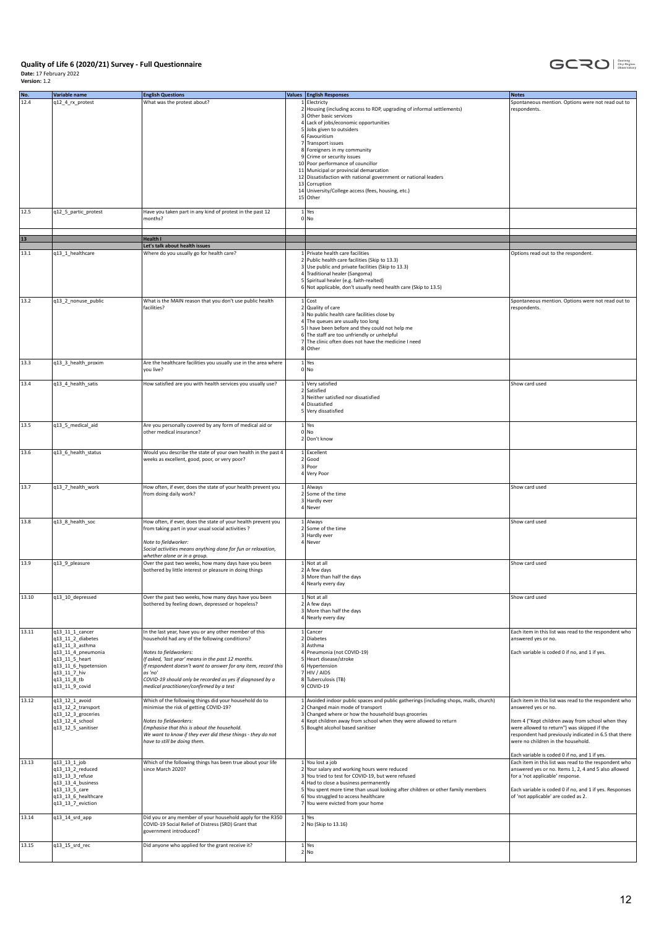

| No.   | Variable name                                                                                                                                                            | <b>English Questions</b>                                                                                                                                                                                                                                                                                                                                                       |                                                    | <b>Values English Responses</b>                                                                                                                                                                                                                                                                                                                                                                                                                                                                                                  | <b>Notes</b>                                                                                                                                                                                                                                                                                                                     |
|-------|--------------------------------------------------------------------------------------------------------------------------------------------------------------------------|--------------------------------------------------------------------------------------------------------------------------------------------------------------------------------------------------------------------------------------------------------------------------------------------------------------------------------------------------------------------------------|----------------------------------------------------|----------------------------------------------------------------------------------------------------------------------------------------------------------------------------------------------------------------------------------------------------------------------------------------------------------------------------------------------------------------------------------------------------------------------------------------------------------------------------------------------------------------------------------|----------------------------------------------------------------------------------------------------------------------------------------------------------------------------------------------------------------------------------------------------------------------------------------------------------------------------------|
| 12.4  | q12_4_rx_protest                                                                                                                                                         | What was the protest about?                                                                                                                                                                                                                                                                                                                                                    |                                                    | 1 Electricty<br>2 Housing (including access to RDP, upgrading of informal settlements)<br>3 Other basic services<br>4 Lack of jobs/economic opportunities<br>5 Jobs given to outsiders<br>6 Favouritism<br>7 Transport issues<br>8 Foreigners in my community<br>9 Crime or security issues<br>10 Poor performance of councillor<br>11 Municipal or provincial demarcation<br>12 Dissatisfaction with national government or national leaders<br>13 Corruption<br>14 University/College access (fees, housing, etc.)<br>15 Other | Spontaneous mention. Options were not read out to<br>respondents.                                                                                                                                                                                                                                                                |
| 12.5  | q12_5_partic_protest                                                                                                                                                     | Have you taken part in any kind of protest in the past 12<br>months?                                                                                                                                                                                                                                                                                                           |                                                    | $1$ Yes<br>0 No                                                                                                                                                                                                                                                                                                                                                                                                                                                                                                                  |                                                                                                                                                                                                                                                                                                                                  |
|       |                                                                                                                                                                          |                                                                                                                                                                                                                                                                                                                                                                                |                                                    |                                                                                                                                                                                                                                                                                                                                                                                                                                                                                                                                  |                                                                                                                                                                                                                                                                                                                                  |
| 13    |                                                                                                                                                                          | <b>Health I</b><br>Let's talk about health issues                                                                                                                                                                                                                                                                                                                              |                                                    |                                                                                                                                                                                                                                                                                                                                                                                                                                                                                                                                  |                                                                                                                                                                                                                                                                                                                                  |
| 13.1  | q13_1_healthcare                                                                                                                                                         | Where do you usually go for health care?                                                                                                                                                                                                                                                                                                                                       |                                                    | 1 Private health care facilities<br>2 Public health care facilities (Skip to 13.3)<br>3 Use public and private facilities (Skip to 13.3)<br>4 Traditional healer (Sangoma)<br>5 Spiritual healer (e.g. faith-realted)<br>6 Not applicable, don't usually need health care (Skip to 13.5)                                                                                                                                                                                                                                         | Options read out to the respondent.                                                                                                                                                                                                                                                                                              |
| 13.2  | q13_2_nonuse_public                                                                                                                                                      | What is the MAIN reason that you don't use public health<br>facilities?                                                                                                                                                                                                                                                                                                        |                                                    | $1$ Cost<br>2 Quality of care<br>3 No public health care facilities close by<br>4 The queues are usually too long<br>5 I have been before and they could not help me<br>6 The staff are too unfriendly or unhelpful<br>7 The clinic often does not have the medicine I need<br>8 Other                                                                                                                                                                                                                                           | Spontaneous mention. Options were not read out to<br>respondents.                                                                                                                                                                                                                                                                |
| 13.3  | q13_3_health_proxim                                                                                                                                                      | Are the healthcare facilities you usually use in the area where<br>you live?                                                                                                                                                                                                                                                                                                   |                                                    | $1$ Yes<br>$0 $ No                                                                                                                                                                                                                                                                                                                                                                                                                                                                                                               |                                                                                                                                                                                                                                                                                                                                  |
| 13.4  | q13_4_health_satis                                                                                                                                                       | How satisfied are you with health services you usually use?                                                                                                                                                                                                                                                                                                                    |                                                    | 1 Very satisfied<br>2 Satisfied<br>$\overline{\mathbf{3}}$<br>Neither satisfied nor dissatisfied<br>4 Dissatisfied<br>5 Very dissatisfied                                                                                                                                                                                                                                                                                                                                                                                        | Show card used                                                                                                                                                                                                                                                                                                                   |
| 13.5  | q13_5_medical_aid                                                                                                                                                        | Are you personally covered by any form of medical aid or<br>other medical insurance?                                                                                                                                                                                                                                                                                           |                                                    | $1$ Yes<br>$0 $ No<br>2 Don't know                                                                                                                                                                                                                                                                                                                                                                                                                                                                                               |                                                                                                                                                                                                                                                                                                                                  |
| 13.6  | q13_6_health_status                                                                                                                                                      | Would you describe the state of your own health in the past 4<br>weeks as excellent, good, poor, or very poor?                                                                                                                                                                                                                                                                 |                                                    | 1 Excellent<br>2 Good<br>3 Poor<br>4 Very Poor                                                                                                                                                                                                                                                                                                                                                                                                                                                                                   |                                                                                                                                                                                                                                                                                                                                  |
| 13.7  | q13_7_health_work                                                                                                                                                        | How often, if ever, does the state of your health prevent you<br>from doing daily work?                                                                                                                                                                                                                                                                                        |                                                    | 1 Always<br>2 Some of the time<br>3 Hardly ever<br>4 Never                                                                                                                                                                                                                                                                                                                                                                                                                                                                       | Show card used                                                                                                                                                                                                                                                                                                                   |
| 13.8  | q13_8_health_soc                                                                                                                                                         | How often, if ever, does the state of your health prevent you<br>from taking part in your usual social activities ?<br>Note to fieldworker:<br>Social activities means anything done for fun or relaxation,<br>whether alone or in a group.                                                                                                                                    |                                                    | 1 Always<br>2 Some of the time<br>Hardly ever<br>$\overline{\mathbf{3}}$<br>4 Never                                                                                                                                                                                                                                                                                                                                                                                                                                              | Show card used                                                                                                                                                                                                                                                                                                                   |
| 13.9  | q13_9_pleasure                                                                                                                                                           | Over the past two weeks, how many days have you been<br>bothered by little interest or pleasure in doing things                                                                                                                                                                                                                                                                |                                                    | 1 Not at all<br>2 A few days<br>3 More than half the days<br>4 Nearly every day                                                                                                                                                                                                                                                                                                                                                                                                                                                  | Show card used                                                                                                                                                                                                                                                                                                                   |
| 13.10 | q13_10_depressed                                                                                                                                                         | Over the past two weeks, how many days have you been<br>bothered by feeling down, depressed or hopeless?                                                                                                                                                                                                                                                                       |                                                    | 1 Not at all<br>2 A few days<br>3 More than half the days<br>4 Nearly every day                                                                                                                                                                                                                                                                                                                                                                                                                                                  | Show card used                                                                                                                                                                                                                                                                                                                   |
| 13.11 | q13_11_1_cancer<br>q13 11 2 diabetes<br>q13_11_3_asthma<br>q13_11_4_pneumonia<br>q13_11_5_heart<br>q13_11_6_hypetension<br>q13_11_7_hiv<br>q13_11_8_tb<br>q13_11_9_covid | In the last year, have you or any other member of this<br>household had any of the following conditions?<br>Notes to fieldworkers:<br>If asked, 'last year' means in the past 12 months.<br>If respondent doesn't want to answer for any item, record this<br>as 'no'<br>COVID-19 should only be recorded as yes if diagnosed by a<br>medical practitioner/confirmed by a test |                                                    | 1 Cancer<br>2 Diabetes<br>3 Asthma<br>4 Pneumonia (not COVID-19)<br>5 Heart disease/stroke<br>6 Hypertension<br>7 HIV / AIDS<br>8 Tuberculosis (TB)<br>$9$ COVID-19                                                                                                                                                                                                                                                                                                                                                              | Each item in this list was read to the respondent who<br>answered yes or no.<br>Each variable is coded 0 if no, and 1 if yes.                                                                                                                                                                                                    |
| 13.12 | q13_12_1_avoid<br>q13_12_2_transport<br>q13_12_3_groceries<br>q13_12_4_school<br>q13_12_5_sanitiser                                                                      | Which of the following things did your household do to<br>minimise the risk of getting COVID-19?<br>Notes to fieldworkers:<br>Emphasise that this is about the household.<br>We want to know if they ever did these things - they do not<br>have to still be doing them.                                                                                                       | $\overline{2}$<br>$\overline{3}$<br>$\overline{4}$ | 1 Avoided indoor public spaces and public gatherings (including shops, malls, church)<br>Changed main mode of transport<br>Changed where or how the household buys groceries<br>Kept children away from school when they were allowed to return<br>5 Bought alcohol based sanitiser                                                                                                                                                                                                                                              | Each item in this list was read to the respondent who<br>answered yes or no.<br>Item 4 ("Kept children away from school when they<br>were allowed to return") was skipped if the<br>respondent had previously indicated in 6.5 that there<br>were no children in the household.<br>Each variable is coded 0 if no, and 1 if yes. |
| 13.13 | q13_13_1_job<br>q13_13_2_reduced<br>q13_13_3_refuse<br>$q13_13_4$ business<br>q13_13_5_care<br>q13_13_6_healthcare<br>q13_13_7_eviction                                  | Which of the following things has been true about your life<br>since March 2020?                                                                                                                                                                                                                                                                                               |                                                    | 1 You lost a job<br>2 Your salary and working hours were reduced<br>3 You tried to test for COVID-19, but were refused<br>4 Had to close a business permanently<br>5 You spent more time than usual looking after children or other family members<br>6 You struggled to access healthcare<br>$\overline{7}$<br>You were evicted from your home                                                                                                                                                                                  | Each item in this list was read to the respondent who<br>answered yes or no. Items 1, 2, 4 and 5 also allowed<br>for a 'not applicable' response.<br>Each variable is coded 0 if no, and 1 if yes. Responses<br>of 'not applicable' are coded as 2.                                                                              |
| 13.14 | q13_14_srd_app                                                                                                                                                           | Did you or any member of your household apply for the R350<br>COVID-19 Social Relief of Distress (SRD) Grant that<br>government introduced?                                                                                                                                                                                                                                    |                                                    | $1$ Yes<br>2 No (Skip to 13.16)                                                                                                                                                                                                                                                                                                                                                                                                                                                                                                  |                                                                                                                                                                                                                                                                                                                                  |
| 13.15 | q13_15_srd_rec                                                                                                                                                           | Did anyone who applied for the grant receive it?                                                                                                                                                                                                                                                                                                                               |                                                    | $1$ Yes<br>2 No                                                                                                                                                                                                                                                                                                                                                                                                                                                                                                                  |                                                                                                                                                                                                                                                                                                                                  |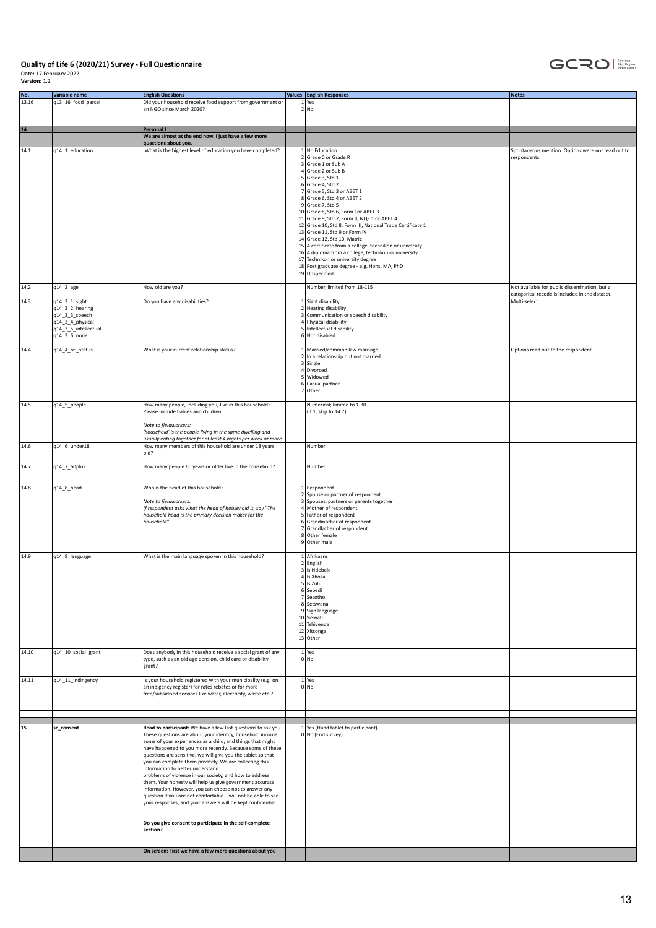

| $1$ Yes<br>2 No<br>an NGO since March 2020?<br>$14$<br>Personal I<br>We are almost at the end now. I just have a few more<br>questions about you.<br>14.1<br>q14_1_education<br>What is the highest level of education you have completed?<br>1 No Education<br>Spontaneous mention. Options were not read out to<br>2 Grade 0 or Grade R<br>respondents.<br>3 Grade 1 or Sub A<br>4 Grade 2 or Sub B<br>$5$ Grade 3, Std 1<br>$6$ Grade 4, Std 2<br>7 Grade 5, Std 3 or ABET 1<br>8 Grade 6, Std 4 or ABET 2<br>$9$ Grade 7, Std 5<br>10 Grade 8, Std 6, Form I or ABET 3<br>11 Grade 9, Std 7, Form II, NQF 1 or ABET 4<br>12 Grade 10, Std 8, Form III, National Trade Certificate 1<br>13 Grade 11, Std 9 or Form IV<br>14 Grade 12, Std 10, Matric<br>15 A certificate from a college, technikon or university<br>16 A diploma from a college, technikon or university<br>17 Technikon or university degree<br>18 Post graduate degree - e.g. Hons, MA, PhD<br>19 Unspecified<br>Number, limited from 18-115<br>14.2<br>q14_2_age<br>How old are you?<br>Not available for public dissemination, but a<br>categorical recode is included in the dataset.<br>14.3<br>Do you have any disabilities?<br>1 Sight disability<br>q14_3_1_sight<br>Multi-select.<br>q14_3_2_hearing<br>2 Hearing disability<br>q14_3_3_speech<br>3 Communication or speech disability<br>4 Physical disability<br>q14_3_4_physical<br>5 Intellectual disability<br>q14_3_5_intellectual<br>6 Not disabled<br>q14_3_6_none<br>14.4<br>q14_4_rel_status<br>What is your current relationship status?<br>1 Married/common law marriage<br>Options read out to the respondent.<br>2 In a relationship but not married<br>3 Single<br>4 Divorced<br>5 Widowed<br>6 Casual partner<br>7 Other<br>14.5<br>q14_5_people<br>How many people, including you, live in this household?<br>Numerical; limited to 1-30<br>Please include babies and children.<br>(If 1, skip to 14.7)<br>Note to fieldworkers:<br>'household' is the people living in the same dwelling and<br>usually eating together for at least 4 nights per week or more.<br>How many members of this household are under 18 years<br>14.6<br>q14_6_under18<br>Number<br>old?<br>14.7<br>q14_7_60plus<br>How many people 60 years or older live in the household?<br>Number<br>Who is the head of this household?<br>14.8<br>q14_8_head<br>1 Respondent<br>2 Spouse or partner of respondent<br>3 Spouses, partners or parents together<br>Note to fieldworkers:<br>If respondent asks what the head of household is, say "The<br>4 Mother of respondent<br>household head is the primary decision maker for the<br>5 Father of respondent<br>household"<br>6 Grandmother of respondent<br>7 Grandfather of respondent<br>8 Other female<br>9 Other male<br>14.9<br>q14_9_language<br>What is the main language spoken in this household?<br>1 Afrikaans<br>$2$ English<br>3 IsiNdebele<br>4 IsiXhosa<br>IsiZulu<br>6 Sepedi<br>7 Sesotho<br>8 Setswana<br>9 Sign language<br>10 SiSwati<br>11 Tshivenda<br>12 Xitsonga<br>13 Other<br>14.10<br>q14_10_social_grant<br>Does anybody in this household receive a social grant of any<br>$1$ Yes<br>0 No<br>type, such as an old age pension, child care or disability<br>grant?<br>14.11<br>q14_11_indingency<br>Is your household registered with your municipality (e.g. on<br>$1$ Yes<br>an indigency register) for rates rebates or for more<br>$0 $ No<br>free/subsidised services like water, electricity, waste etc.?<br>15<br>sc_consent<br>Read to participant: We have a few last questions to ask you.<br>1 Yes (Hand tablet to participant)<br>These questions are about your identity, household income,<br>0 No (End survey)<br>some of your experiences as a child, and things that might<br>have happened to you more recently. Because some of these<br>questions are sensitive, we will give you the tablet so that<br>you can complete them privately. We are collecting this<br>information to better understand<br>problems of violence in our society, and how to address<br>them. Your honesty will help us give government accurate<br>information. However, you can choose not to answer any<br>question if you are not comfortable. I will not be able to see<br>your responses, and your answers will be kept confidential.<br>Do you give consent to participate in the self-complete<br>section?<br>On screen: First we have a few more questions about you | No.   | Variable name      | <b>English Questions</b>                                   | Values English Responses | <b>Notes</b> |
|------------------------------------------------------------------------------------------------------------------------------------------------------------------------------------------------------------------------------------------------------------------------------------------------------------------------------------------------------------------------------------------------------------------------------------------------------------------------------------------------------------------------------------------------------------------------------------------------------------------------------------------------------------------------------------------------------------------------------------------------------------------------------------------------------------------------------------------------------------------------------------------------------------------------------------------------------------------------------------------------------------------------------------------------------------------------------------------------------------------------------------------------------------------------------------------------------------------------------------------------------------------------------------------------------------------------------------------------------------------------------------------------------------------------------------------------------------------------------------------------------------------------------------------------------------------------------------------------------------------------------------------------------------------------------------------------------------------------------------------------------------------------------------------------------------------------------------------------------------------------------------------------------------------------------------------------------------------------------------------------------------------------------------------------------------------------------------------------------------------------------------------------------------------------------------------------------------------------------------------------------------------------------------------------------------------------------------------------------------------------------------------------------------------------------------------------------------------------------------------------------------------------------------------------------------------------------------------------------------------------------------------------------------------------------------------------------------------------------------------------------------------------------------------------------------------------------------------------------------------------------------------------------------------------------------------------------------------------------------------------------------------------------------------------------------------------------------------------------------------------------------------------------------------------------------------------------------------------------------------------------------------------------------------------------------------------------------------------------------------------------------------------------------------------------------------------------------------------------------------------------------------------------------------------------------------------------------------------------------------------------------------------------------------------------------------------------------------------------------------------------------------------------------------------------------------------------------------------------------------------------------------------------------------------------------------------------------------------------------------------------------------------------------------------------------------------------------------------------------------------------------------------------------------------------------------------------------------------------------------------------------------------------------------------------------------------------------------------------------------------------------------------------------------------------------------------------------------------------|-------|--------------------|------------------------------------------------------------|--------------------------|--------------|
|                                                                                                                                                                                                                                                                                                                                                                                                                                                                                                                                                                                                                                                                                                                                                                                                                                                                                                                                                                                                                                                                                                                                                                                                                                                                                                                                                                                                                                                                                                                                                                                                                                                                                                                                                                                                                                                                                                                                                                                                                                                                                                                                                                                                                                                                                                                                                                                                                                                                                                                                                                                                                                                                                                                                                                                                                                                                                                                                                                                                                                                                                                                                                                                                                                                                                                                                                                                                                                                                                                                                                                                                                                                                                                                                                                                                                                                                                                                                                                                                                                                                                                                                                                                                                                                                                                                                                                                                                                                                              | 13.16 | q13_16_food_parcel | Did your household receive food support from government or |                          |              |
|                                                                                                                                                                                                                                                                                                                                                                                                                                                                                                                                                                                                                                                                                                                                                                                                                                                                                                                                                                                                                                                                                                                                                                                                                                                                                                                                                                                                                                                                                                                                                                                                                                                                                                                                                                                                                                                                                                                                                                                                                                                                                                                                                                                                                                                                                                                                                                                                                                                                                                                                                                                                                                                                                                                                                                                                                                                                                                                                                                                                                                                                                                                                                                                                                                                                                                                                                                                                                                                                                                                                                                                                                                                                                                                                                                                                                                                                                                                                                                                                                                                                                                                                                                                                                                                                                                                                                                                                                                                                              |       |                    |                                                            |                          |              |
|                                                                                                                                                                                                                                                                                                                                                                                                                                                                                                                                                                                                                                                                                                                                                                                                                                                                                                                                                                                                                                                                                                                                                                                                                                                                                                                                                                                                                                                                                                                                                                                                                                                                                                                                                                                                                                                                                                                                                                                                                                                                                                                                                                                                                                                                                                                                                                                                                                                                                                                                                                                                                                                                                                                                                                                                                                                                                                                                                                                                                                                                                                                                                                                                                                                                                                                                                                                                                                                                                                                                                                                                                                                                                                                                                                                                                                                                                                                                                                                                                                                                                                                                                                                                                                                                                                                                                                                                                                                                              |       |                    |                                                            |                          |              |
|                                                                                                                                                                                                                                                                                                                                                                                                                                                                                                                                                                                                                                                                                                                                                                                                                                                                                                                                                                                                                                                                                                                                                                                                                                                                                                                                                                                                                                                                                                                                                                                                                                                                                                                                                                                                                                                                                                                                                                                                                                                                                                                                                                                                                                                                                                                                                                                                                                                                                                                                                                                                                                                                                                                                                                                                                                                                                                                                                                                                                                                                                                                                                                                                                                                                                                                                                                                                                                                                                                                                                                                                                                                                                                                                                                                                                                                                                                                                                                                                                                                                                                                                                                                                                                                                                                                                                                                                                                                                              |       |                    |                                                            |                          |              |
|                                                                                                                                                                                                                                                                                                                                                                                                                                                                                                                                                                                                                                                                                                                                                                                                                                                                                                                                                                                                                                                                                                                                                                                                                                                                                                                                                                                                                                                                                                                                                                                                                                                                                                                                                                                                                                                                                                                                                                                                                                                                                                                                                                                                                                                                                                                                                                                                                                                                                                                                                                                                                                                                                                                                                                                                                                                                                                                                                                                                                                                                                                                                                                                                                                                                                                                                                                                                                                                                                                                                                                                                                                                                                                                                                                                                                                                                                                                                                                                                                                                                                                                                                                                                                                                                                                                                                                                                                                                                              |       |                    |                                                            |                          |              |
|                                                                                                                                                                                                                                                                                                                                                                                                                                                                                                                                                                                                                                                                                                                                                                                                                                                                                                                                                                                                                                                                                                                                                                                                                                                                                                                                                                                                                                                                                                                                                                                                                                                                                                                                                                                                                                                                                                                                                                                                                                                                                                                                                                                                                                                                                                                                                                                                                                                                                                                                                                                                                                                                                                                                                                                                                                                                                                                                                                                                                                                                                                                                                                                                                                                                                                                                                                                                                                                                                                                                                                                                                                                                                                                                                                                                                                                                                                                                                                                                                                                                                                                                                                                                                                                                                                                                                                                                                                                                              |       |                    |                                                            |                          |              |
|                                                                                                                                                                                                                                                                                                                                                                                                                                                                                                                                                                                                                                                                                                                                                                                                                                                                                                                                                                                                                                                                                                                                                                                                                                                                                                                                                                                                                                                                                                                                                                                                                                                                                                                                                                                                                                                                                                                                                                                                                                                                                                                                                                                                                                                                                                                                                                                                                                                                                                                                                                                                                                                                                                                                                                                                                                                                                                                                                                                                                                                                                                                                                                                                                                                                                                                                                                                                                                                                                                                                                                                                                                                                                                                                                                                                                                                                                                                                                                                                                                                                                                                                                                                                                                                                                                                                                                                                                                                                              |       |                    |                                                            |                          |              |
|                                                                                                                                                                                                                                                                                                                                                                                                                                                                                                                                                                                                                                                                                                                                                                                                                                                                                                                                                                                                                                                                                                                                                                                                                                                                                                                                                                                                                                                                                                                                                                                                                                                                                                                                                                                                                                                                                                                                                                                                                                                                                                                                                                                                                                                                                                                                                                                                                                                                                                                                                                                                                                                                                                                                                                                                                                                                                                                                                                                                                                                                                                                                                                                                                                                                                                                                                                                                                                                                                                                                                                                                                                                                                                                                                                                                                                                                                                                                                                                                                                                                                                                                                                                                                                                                                                                                                                                                                                                                              |       |                    |                                                            |                          |              |
|                                                                                                                                                                                                                                                                                                                                                                                                                                                                                                                                                                                                                                                                                                                                                                                                                                                                                                                                                                                                                                                                                                                                                                                                                                                                                                                                                                                                                                                                                                                                                                                                                                                                                                                                                                                                                                                                                                                                                                                                                                                                                                                                                                                                                                                                                                                                                                                                                                                                                                                                                                                                                                                                                                                                                                                                                                                                                                                                                                                                                                                                                                                                                                                                                                                                                                                                                                                                                                                                                                                                                                                                                                                                                                                                                                                                                                                                                                                                                                                                                                                                                                                                                                                                                                                                                                                                                                                                                                                                              |       |                    |                                                            |                          |              |
|                                                                                                                                                                                                                                                                                                                                                                                                                                                                                                                                                                                                                                                                                                                                                                                                                                                                                                                                                                                                                                                                                                                                                                                                                                                                                                                                                                                                                                                                                                                                                                                                                                                                                                                                                                                                                                                                                                                                                                                                                                                                                                                                                                                                                                                                                                                                                                                                                                                                                                                                                                                                                                                                                                                                                                                                                                                                                                                                                                                                                                                                                                                                                                                                                                                                                                                                                                                                                                                                                                                                                                                                                                                                                                                                                                                                                                                                                                                                                                                                                                                                                                                                                                                                                                                                                                                                                                                                                                                                              |       |                    |                                                            |                          |              |
|                                                                                                                                                                                                                                                                                                                                                                                                                                                                                                                                                                                                                                                                                                                                                                                                                                                                                                                                                                                                                                                                                                                                                                                                                                                                                                                                                                                                                                                                                                                                                                                                                                                                                                                                                                                                                                                                                                                                                                                                                                                                                                                                                                                                                                                                                                                                                                                                                                                                                                                                                                                                                                                                                                                                                                                                                                                                                                                                                                                                                                                                                                                                                                                                                                                                                                                                                                                                                                                                                                                                                                                                                                                                                                                                                                                                                                                                                                                                                                                                                                                                                                                                                                                                                                                                                                                                                                                                                                                                              |       |                    |                                                            |                          |              |
|                                                                                                                                                                                                                                                                                                                                                                                                                                                                                                                                                                                                                                                                                                                                                                                                                                                                                                                                                                                                                                                                                                                                                                                                                                                                                                                                                                                                                                                                                                                                                                                                                                                                                                                                                                                                                                                                                                                                                                                                                                                                                                                                                                                                                                                                                                                                                                                                                                                                                                                                                                                                                                                                                                                                                                                                                                                                                                                                                                                                                                                                                                                                                                                                                                                                                                                                                                                                                                                                                                                                                                                                                                                                                                                                                                                                                                                                                                                                                                                                                                                                                                                                                                                                                                                                                                                                                                                                                                                                              |       |                    |                                                            |                          |              |
|                                                                                                                                                                                                                                                                                                                                                                                                                                                                                                                                                                                                                                                                                                                                                                                                                                                                                                                                                                                                                                                                                                                                                                                                                                                                                                                                                                                                                                                                                                                                                                                                                                                                                                                                                                                                                                                                                                                                                                                                                                                                                                                                                                                                                                                                                                                                                                                                                                                                                                                                                                                                                                                                                                                                                                                                                                                                                                                                                                                                                                                                                                                                                                                                                                                                                                                                                                                                                                                                                                                                                                                                                                                                                                                                                                                                                                                                                                                                                                                                                                                                                                                                                                                                                                                                                                                                                                                                                                                                              |       |                    |                                                            |                          |              |
|                                                                                                                                                                                                                                                                                                                                                                                                                                                                                                                                                                                                                                                                                                                                                                                                                                                                                                                                                                                                                                                                                                                                                                                                                                                                                                                                                                                                                                                                                                                                                                                                                                                                                                                                                                                                                                                                                                                                                                                                                                                                                                                                                                                                                                                                                                                                                                                                                                                                                                                                                                                                                                                                                                                                                                                                                                                                                                                                                                                                                                                                                                                                                                                                                                                                                                                                                                                                                                                                                                                                                                                                                                                                                                                                                                                                                                                                                                                                                                                                                                                                                                                                                                                                                                                                                                                                                                                                                                                                              |       |                    |                                                            |                          |              |
|                                                                                                                                                                                                                                                                                                                                                                                                                                                                                                                                                                                                                                                                                                                                                                                                                                                                                                                                                                                                                                                                                                                                                                                                                                                                                                                                                                                                                                                                                                                                                                                                                                                                                                                                                                                                                                                                                                                                                                                                                                                                                                                                                                                                                                                                                                                                                                                                                                                                                                                                                                                                                                                                                                                                                                                                                                                                                                                                                                                                                                                                                                                                                                                                                                                                                                                                                                                                                                                                                                                                                                                                                                                                                                                                                                                                                                                                                                                                                                                                                                                                                                                                                                                                                                                                                                                                                                                                                                                                              |       |                    |                                                            |                          |              |
|                                                                                                                                                                                                                                                                                                                                                                                                                                                                                                                                                                                                                                                                                                                                                                                                                                                                                                                                                                                                                                                                                                                                                                                                                                                                                                                                                                                                                                                                                                                                                                                                                                                                                                                                                                                                                                                                                                                                                                                                                                                                                                                                                                                                                                                                                                                                                                                                                                                                                                                                                                                                                                                                                                                                                                                                                                                                                                                                                                                                                                                                                                                                                                                                                                                                                                                                                                                                                                                                                                                                                                                                                                                                                                                                                                                                                                                                                                                                                                                                                                                                                                                                                                                                                                                                                                                                                                                                                                                                              |       |                    |                                                            |                          |              |
|                                                                                                                                                                                                                                                                                                                                                                                                                                                                                                                                                                                                                                                                                                                                                                                                                                                                                                                                                                                                                                                                                                                                                                                                                                                                                                                                                                                                                                                                                                                                                                                                                                                                                                                                                                                                                                                                                                                                                                                                                                                                                                                                                                                                                                                                                                                                                                                                                                                                                                                                                                                                                                                                                                                                                                                                                                                                                                                                                                                                                                                                                                                                                                                                                                                                                                                                                                                                                                                                                                                                                                                                                                                                                                                                                                                                                                                                                                                                                                                                                                                                                                                                                                                                                                                                                                                                                                                                                                                                              |       |                    |                                                            |                          |              |
|                                                                                                                                                                                                                                                                                                                                                                                                                                                                                                                                                                                                                                                                                                                                                                                                                                                                                                                                                                                                                                                                                                                                                                                                                                                                                                                                                                                                                                                                                                                                                                                                                                                                                                                                                                                                                                                                                                                                                                                                                                                                                                                                                                                                                                                                                                                                                                                                                                                                                                                                                                                                                                                                                                                                                                                                                                                                                                                                                                                                                                                                                                                                                                                                                                                                                                                                                                                                                                                                                                                                                                                                                                                                                                                                                                                                                                                                                                                                                                                                                                                                                                                                                                                                                                                                                                                                                                                                                                                                              |       |                    |                                                            |                          |              |
|                                                                                                                                                                                                                                                                                                                                                                                                                                                                                                                                                                                                                                                                                                                                                                                                                                                                                                                                                                                                                                                                                                                                                                                                                                                                                                                                                                                                                                                                                                                                                                                                                                                                                                                                                                                                                                                                                                                                                                                                                                                                                                                                                                                                                                                                                                                                                                                                                                                                                                                                                                                                                                                                                                                                                                                                                                                                                                                                                                                                                                                                                                                                                                                                                                                                                                                                                                                                                                                                                                                                                                                                                                                                                                                                                                                                                                                                                                                                                                                                                                                                                                                                                                                                                                                                                                                                                                                                                                                                              |       |                    |                                                            |                          |              |
|                                                                                                                                                                                                                                                                                                                                                                                                                                                                                                                                                                                                                                                                                                                                                                                                                                                                                                                                                                                                                                                                                                                                                                                                                                                                                                                                                                                                                                                                                                                                                                                                                                                                                                                                                                                                                                                                                                                                                                                                                                                                                                                                                                                                                                                                                                                                                                                                                                                                                                                                                                                                                                                                                                                                                                                                                                                                                                                                                                                                                                                                                                                                                                                                                                                                                                                                                                                                                                                                                                                                                                                                                                                                                                                                                                                                                                                                                                                                                                                                                                                                                                                                                                                                                                                                                                                                                                                                                                                                              |       |                    |                                                            |                          |              |
|                                                                                                                                                                                                                                                                                                                                                                                                                                                                                                                                                                                                                                                                                                                                                                                                                                                                                                                                                                                                                                                                                                                                                                                                                                                                                                                                                                                                                                                                                                                                                                                                                                                                                                                                                                                                                                                                                                                                                                                                                                                                                                                                                                                                                                                                                                                                                                                                                                                                                                                                                                                                                                                                                                                                                                                                                                                                                                                                                                                                                                                                                                                                                                                                                                                                                                                                                                                                                                                                                                                                                                                                                                                                                                                                                                                                                                                                                                                                                                                                                                                                                                                                                                                                                                                                                                                                                                                                                                                                              |       |                    |                                                            |                          |              |
|                                                                                                                                                                                                                                                                                                                                                                                                                                                                                                                                                                                                                                                                                                                                                                                                                                                                                                                                                                                                                                                                                                                                                                                                                                                                                                                                                                                                                                                                                                                                                                                                                                                                                                                                                                                                                                                                                                                                                                                                                                                                                                                                                                                                                                                                                                                                                                                                                                                                                                                                                                                                                                                                                                                                                                                                                                                                                                                                                                                                                                                                                                                                                                                                                                                                                                                                                                                                                                                                                                                                                                                                                                                                                                                                                                                                                                                                                                                                                                                                                                                                                                                                                                                                                                                                                                                                                                                                                                                                              |       |                    |                                                            |                          |              |
|                                                                                                                                                                                                                                                                                                                                                                                                                                                                                                                                                                                                                                                                                                                                                                                                                                                                                                                                                                                                                                                                                                                                                                                                                                                                                                                                                                                                                                                                                                                                                                                                                                                                                                                                                                                                                                                                                                                                                                                                                                                                                                                                                                                                                                                                                                                                                                                                                                                                                                                                                                                                                                                                                                                                                                                                                                                                                                                                                                                                                                                                                                                                                                                                                                                                                                                                                                                                                                                                                                                                                                                                                                                                                                                                                                                                                                                                                                                                                                                                                                                                                                                                                                                                                                                                                                                                                                                                                                                                              |       |                    |                                                            |                          |              |
|                                                                                                                                                                                                                                                                                                                                                                                                                                                                                                                                                                                                                                                                                                                                                                                                                                                                                                                                                                                                                                                                                                                                                                                                                                                                                                                                                                                                                                                                                                                                                                                                                                                                                                                                                                                                                                                                                                                                                                                                                                                                                                                                                                                                                                                                                                                                                                                                                                                                                                                                                                                                                                                                                                                                                                                                                                                                                                                                                                                                                                                                                                                                                                                                                                                                                                                                                                                                                                                                                                                                                                                                                                                                                                                                                                                                                                                                                                                                                                                                                                                                                                                                                                                                                                                                                                                                                                                                                                                                              |       |                    |                                                            |                          |              |
|                                                                                                                                                                                                                                                                                                                                                                                                                                                                                                                                                                                                                                                                                                                                                                                                                                                                                                                                                                                                                                                                                                                                                                                                                                                                                                                                                                                                                                                                                                                                                                                                                                                                                                                                                                                                                                                                                                                                                                                                                                                                                                                                                                                                                                                                                                                                                                                                                                                                                                                                                                                                                                                                                                                                                                                                                                                                                                                                                                                                                                                                                                                                                                                                                                                                                                                                                                                                                                                                                                                                                                                                                                                                                                                                                                                                                                                                                                                                                                                                                                                                                                                                                                                                                                                                                                                                                                                                                                                                              |       |                    |                                                            |                          |              |
|                                                                                                                                                                                                                                                                                                                                                                                                                                                                                                                                                                                                                                                                                                                                                                                                                                                                                                                                                                                                                                                                                                                                                                                                                                                                                                                                                                                                                                                                                                                                                                                                                                                                                                                                                                                                                                                                                                                                                                                                                                                                                                                                                                                                                                                                                                                                                                                                                                                                                                                                                                                                                                                                                                                                                                                                                                                                                                                                                                                                                                                                                                                                                                                                                                                                                                                                                                                                                                                                                                                                                                                                                                                                                                                                                                                                                                                                                                                                                                                                                                                                                                                                                                                                                                                                                                                                                                                                                                                                              |       |                    |                                                            |                          |              |
|                                                                                                                                                                                                                                                                                                                                                                                                                                                                                                                                                                                                                                                                                                                                                                                                                                                                                                                                                                                                                                                                                                                                                                                                                                                                                                                                                                                                                                                                                                                                                                                                                                                                                                                                                                                                                                                                                                                                                                                                                                                                                                                                                                                                                                                                                                                                                                                                                                                                                                                                                                                                                                                                                                                                                                                                                                                                                                                                                                                                                                                                                                                                                                                                                                                                                                                                                                                                                                                                                                                                                                                                                                                                                                                                                                                                                                                                                                                                                                                                                                                                                                                                                                                                                                                                                                                                                                                                                                                                              |       |                    |                                                            |                          |              |
|                                                                                                                                                                                                                                                                                                                                                                                                                                                                                                                                                                                                                                                                                                                                                                                                                                                                                                                                                                                                                                                                                                                                                                                                                                                                                                                                                                                                                                                                                                                                                                                                                                                                                                                                                                                                                                                                                                                                                                                                                                                                                                                                                                                                                                                                                                                                                                                                                                                                                                                                                                                                                                                                                                                                                                                                                                                                                                                                                                                                                                                                                                                                                                                                                                                                                                                                                                                                                                                                                                                                                                                                                                                                                                                                                                                                                                                                                                                                                                                                                                                                                                                                                                                                                                                                                                                                                                                                                                                                              |       |                    |                                                            |                          |              |
|                                                                                                                                                                                                                                                                                                                                                                                                                                                                                                                                                                                                                                                                                                                                                                                                                                                                                                                                                                                                                                                                                                                                                                                                                                                                                                                                                                                                                                                                                                                                                                                                                                                                                                                                                                                                                                                                                                                                                                                                                                                                                                                                                                                                                                                                                                                                                                                                                                                                                                                                                                                                                                                                                                                                                                                                                                                                                                                                                                                                                                                                                                                                                                                                                                                                                                                                                                                                                                                                                                                                                                                                                                                                                                                                                                                                                                                                                                                                                                                                                                                                                                                                                                                                                                                                                                                                                                                                                                                                              |       |                    |                                                            |                          |              |
|                                                                                                                                                                                                                                                                                                                                                                                                                                                                                                                                                                                                                                                                                                                                                                                                                                                                                                                                                                                                                                                                                                                                                                                                                                                                                                                                                                                                                                                                                                                                                                                                                                                                                                                                                                                                                                                                                                                                                                                                                                                                                                                                                                                                                                                                                                                                                                                                                                                                                                                                                                                                                                                                                                                                                                                                                                                                                                                                                                                                                                                                                                                                                                                                                                                                                                                                                                                                                                                                                                                                                                                                                                                                                                                                                                                                                                                                                                                                                                                                                                                                                                                                                                                                                                                                                                                                                                                                                                                                              |       |                    |                                                            |                          |              |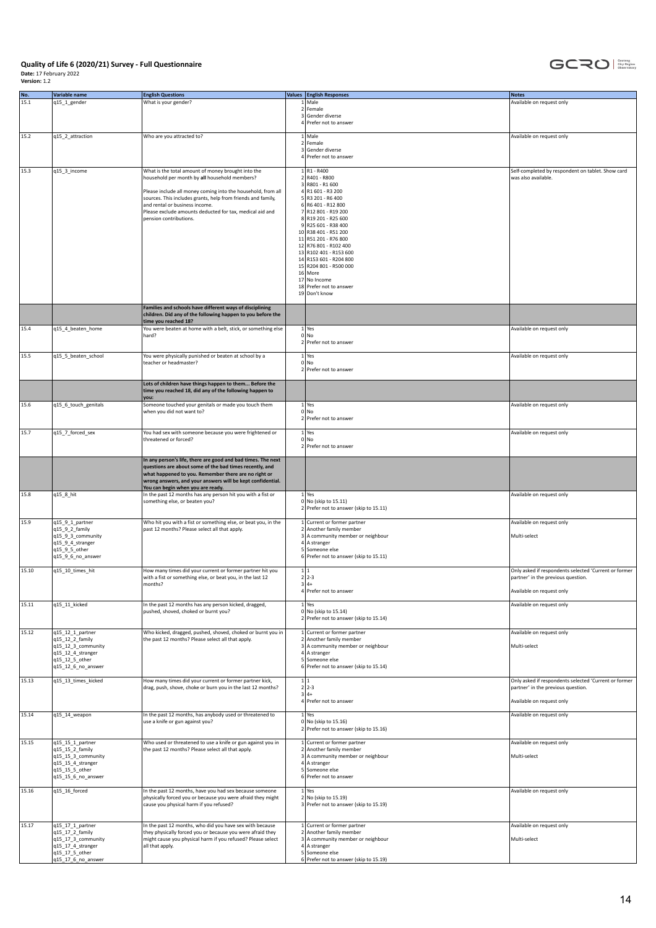

| No.   | Variable name                           | <b>English Questions</b>                                                                                                                        | Values English Responses                                       | <b>Notes</b>                                                                                |
|-------|-----------------------------------------|-------------------------------------------------------------------------------------------------------------------------------------------------|----------------------------------------------------------------|---------------------------------------------------------------------------------------------|
| 15.1  | q15_1_gender                            | What is your gender?                                                                                                                            | 1 Male<br>2 Female                                             | Available on request only                                                                   |
|       |                                         |                                                                                                                                                 | 3 Gender diverse<br>4 Prefer not to answer                     |                                                                                             |
| 15.2  | q15_2_attraction                        | Who are you attracted to?                                                                                                                       | 1 Male                                                         | Available on request only                                                                   |
|       |                                         |                                                                                                                                                 | 2 Female<br>3 Gender diverse<br>4 Prefer not to answer         |                                                                                             |
| 15.3  | q15_3_income                            | What is the total amount of money brought into the                                                                                              | $1$ R <sub>1</sub> - R <sub>400</sub>                          | Self-completed by respondent on tablet. Show card                                           |
|       |                                         | household per month by all household members?                                                                                                   | 2 R401 - R800<br>3 R801 - R1 600                               | was also available.                                                                         |
|       |                                         | Please include all money coming into the household, from all<br>sources. This includes grants, help from friends and family,                    | 4 R1 601 - R3 200<br>5 R3 201 - R6 400                         |                                                                                             |
|       |                                         | and rental or business income.                                                                                                                  | 6 R6 401 - R12 800                                             |                                                                                             |
|       |                                         | Please exclude amounts deducted for tax, medical aid and<br>pension contributions.                                                              | 7 R12 801 - R19 200<br>8 R19 201 - R25 600                     |                                                                                             |
|       |                                         |                                                                                                                                                 | 9 R25 601 - R38 400<br>10 R38 401 - R51 200                    |                                                                                             |
|       |                                         |                                                                                                                                                 | 11 R51 201 - R76 800                                           |                                                                                             |
|       |                                         |                                                                                                                                                 | 12 R76 801 - R102 400<br>13 R102 401 - R153 600                |                                                                                             |
|       |                                         |                                                                                                                                                 | 14 R153 601 - R204 800<br>15 R204 801 - R500 000               |                                                                                             |
|       |                                         |                                                                                                                                                 | 16 More                                                        |                                                                                             |
|       |                                         |                                                                                                                                                 | 17 No Income<br>18 Prefer not to answer                        |                                                                                             |
|       |                                         |                                                                                                                                                 | 19 Don't know                                                  |                                                                                             |
|       |                                         | Families and schools have different ways of disciplining<br>children. Did any of the following happen to you before the<br>time you reached 18? |                                                                |                                                                                             |
| 15.4  | q15_4_beaten_home                       | You were beaten at home with a belt, stick, or something else                                                                                   | 1 Yes                                                          | Available on request only                                                                   |
|       |                                         | hard?                                                                                                                                           | 0 No<br>2 Prefer not to answer                                 |                                                                                             |
| 15.5  | q15_5_beaten_school                     | You were physically punished or beaten at school by a                                                                                           | 1 Yes                                                          | Available on request only                                                                   |
|       |                                         | teacher or headmaster?                                                                                                                          | 0 No<br>2 Prefer not to answer                                 |                                                                                             |
|       |                                         | Lots of children have things happen to them Before the                                                                                          |                                                                |                                                                                             |
|       |                                         | time you reached 18, did any of the following happen to<br>you:                                                                                 |                                                                |                                                                                             |
| 15.6  | q15_6_touch_genitals                    | Someone touched your genitals or made you touch them<br>when you did not want to?                                                               | 1 Yes<br>0 No                                                  | Available on request only                                                                   |
|       |                                         |                                                                                                                                                 | 2 Prefer not to answer                                         |                                                                                             |
| 15.7  | q15_7_forced_sex                        | You had sex with someone because you were frightened or<br>threatened or forced?                                                                | 1 Yes<br>0 No                                                  | Available on request only                                                                   |
|       |                                         |                                                                                                                                                 | 2 Prefer not to answer                                         |                                                                                             |
|       |                                         | In any person's life, there are good and bad times. The next<br>questions are about some of the bad times recently, and                         |                                                                |                                                                                             |
|       |                                         | what happened to you. Remember there are no right or<br>wrong answers, and your answers will be kept confidential.                              |                                                                |                                                                                             |
| 15.8  | q15_8_hit                               | You can begin when you are ready.<br>In the past 12 months has any person hit you with a fist or                                                | $1$ Yes                                                        | Available on request only                                                                   |
|       |                                         | something else, or beaten you?                                                                                                                  | 0 No (skip to 15.11)<br>2 Prefer not to answer (skip to 15.11) |                                                                                             |
| 15.9  | q15_9_1_partner<br>q15_9_2_family       | Who hit you with a fist or something else, or beat you, in the<br>past 12 months? Please select all that apply.                                 | 1 Current or former partner<br>2 Another family member         | Available on request only                                                                   |
|       | q15_9_3_community                       |                                                                                                                                                 | 3 A community member or neighbour                              | Multi-select                                                                                |
|       | q15_9_4_stranger<br>q15 9 5 other       |                                                                                                                                                 | 4 A stranger<br>5 Someone else                                 |                                                                                             |
|       | q15_9_6_no_answer                       |                                                                                                                                                 | 6 Prefer not to answer (skip to 15.11)                         |                                                                                             |
| 15.10 | q15_10_times_hit                        | How many times did your current or former partner hit you<br>with a fist or something else, or beat you, in the last 12                         | 1 1<br>$2 2-3$                                                 | Only asked if respondents selected 'Current or former<br>partner' in the previous question. |
|       |                                         | months?                                                                                                                                         | 314<br>4 Prefer not to answer                                  | Available on request only                                                                   |
| 15.11 | q15_11_kicked                           | In the past 12 months has any person kicked, dragged,                                                                                           | 1 Yes                                                          | Available on request only                                                                   |
|       |                                         | pushed, shoved, choked or burnt you?                                                                                                            | 0   No (skip to 15.14)                                         |                                                                                             |
|       |                                         |                                                                                                                                                 | 2 Prefer not to answer (skip to 15.14)                         |                                                                                             |
| 15.12 | q15_12_1_partner<br>q15_12_2_family     | Who kicked, dragged, pushed, shoved, choked or burnt you in<br>the past 12 months? Please select all that apply.                                | 1 Current or former partner<br>2 Another family member         | Available on request only                                                                   |
|       | q15_12_3_community<br>q15_12_4_stranger |                                                                                                                                                 | 3 A community member or neighbour<br>$4$ A stranger            | Multi-select                                                                                |
|       | q15_12_5_other<br>q15_12_6_no_answer    |                                                                                                                                                 | 5 Someone else<br>6 Prefer not to answer (skip to 15.14)       |                                                                                             |
| 15.13 | q15_13_times_kicked                     | How many times did your current or former partner kick,                                                                                         | 1 1                                                            | Only asked if respondents selected 'Current or former                                       |
|       |                                         | drag, push, shove, choke or burn you in the last 12 months?                                                                                     | $2 2-3$<br>$3 4+$                                              | partner' in the previous question.                                                          |
|       |                                         |                                                                                                                                                 | 4 Prefer not to answer                                         | Available on request only                                                                   |
| 15.14 | q15_14_weapon                           | In the past 12 months, has anybody used or threatened to                                                                                        | $1$ Yes                                                        | Available on request only                                                                   |
|       |                                         | use a knife or gun against you?                                                                                                                 | 0 No (skip to 15.16)<br>2 Prefer not to answer (skip to 15.16) |                                                                                             |
| 15.15 | q15_15_1_partner                        | Who used or threatened to use a knife or gun against you in                                                                                     | 1 Current or former partner                                    | Available on request only                                                                   |
|       | q15_15_2_family<br>q15_15_3_community   | the past 12 months? Please select all that apply.                                                                                               | 2 Another family member<br>3 A community member or neighbour   | Multi-select                                                                                |
|       | q15_15_4_stranger<br>q15_15_5_other     |                                                                                                                                                 | 4 A stranger<br>5 Someone else                                 |                                                                                             |
|       | q15_15_6_no_answer                      |                                                                                                                                                 | 6 Prefer not to answer                                         |                                                                                             |
| 15.16 | q15_16_forced                           | In the past 12 months, have you had sex because someone<br>physically forced you or because you were afraid they might                          | $1$ Yes<br>2 No (skip to 15.19)                                | Available on request only                                                                   |
|       |                                         | cause you physical harm if you refused?                                                                                                         | 3 Prefer not to answer (skip to 15.19)                         |                                                                                             |
| 15.17 | q15_17_1_partner                        | In the past 12 months, who did you have sex with because                                                                                        | 1 Current or former partner                                    | Available on request only                                                                   |
|       | q15_17_2_family                         | they physically forced you or because you were afraid they                                                                                      | 2 Another family member                                        |                                                                                             |
|       | q15_17_3_community<br>q15_17_4_stranger | might cause you physical harm if you refused? Please select<br>all that apply.                                                                  | 3 A community member or neighbour<br>4 A stranger              | Multi-select                                                                                |
|       | q15_17_5_other<br>q15_17_6_no_answer    |                                                                                                                                                 | 5 Someone else<br>6 Prefer not to answer (skip to 15.19)       |                                                                                             |